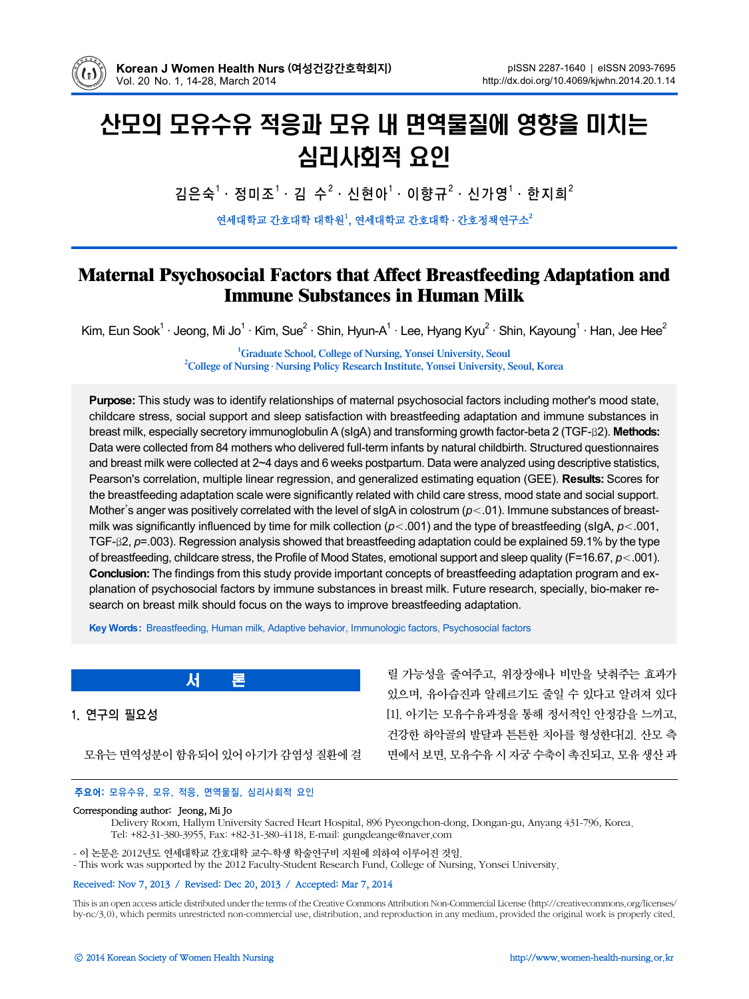

# 산모의 모유수유 적응과 모유 내 면역물질에 영향을 미치는 심리사회적 요인

김은숙<sup>1 .</sup> 정미조<sup>1</sup> · 김 수<sup>2</sup> · 신현아<sup>1</sup> · 이향규<sup>2</sup> · 신가영<sup>1</sup> · 한지희<sup>2</sup>

연세대학교 간호대학 대학원1, 연세대학교 간호대학 · 간호정책연구소

# **Maternal Psychosocial Factors that Affect Breastfeeding Adaptation and Immune Substances in Human Milk**

Kim, Eun Sook<sup>1</sup> · Jeong, Mi Jo<sup>1</sup> · Kim, Sue<sup>2</sup> · Shin, Hyun-A<sup>1</sup> · Lee, Hyang Kyu<sup>2</sup> · Shin, Kayoung<sup>1</sup> · Han, Jee Hee<sup>2</sup>

<sup>1</sup> **Graduate School, College of Nursing, Yonsei University, Seoul**<sup>2</sup> **College of Nursing, Nursing, Desearch Institute, Venesi University, Seoul College of Nursing** ․ **Nursing Policy Research Institute, Yonsei University, Seoul, Korea**

**Purpose:** This study was to identify relationships of maternal psychosocial factors including mother's mood state, childcare stress, social support and sleep satisfaction with breastfeeding adaptation and immune substances in breast milk, especially secretory immunoglobulin A (sIgA) and transforming growth factor-beta 2 (TGF-β2). **Methods:** Data were collected from 84 mothers who delivered full-term infants by natural childbirth. Structured questionnaires and breast milk were collected at 2~4 days and 6 weeks postpartum. Data were analyzed using descriptive statistics, Pearson's correlation, multiple linear regression, and generalized estimating equation (GEE). **Results:** Scores for the breastfeeding adaptation scale were significantly related with child care stress, mood state and social support. Mother's anger was positively correlated with the level of sIgA in colostrum (*p*<.01). Immune substances of breastmilk was significantly influenced by time for milk collection (*p*<.001) and the type of breastfeeding (sIgA, *p*<.001, TGF-β2, *p*=.003). Regression analysis showed that breastfeeding adaptation could be explained 59.1% by the type of breastfeeding, childcare stress, the Profile of Mood States, emotional support and sleep quality (F=16.67, *p*<.001). **Conclusion:** The findings from this study provide important concepts of breastfeeding adaptation program and explanation of psychosocial factors by immune substances in breast milk. Future research, specially, bio-maker research on breast milk should focus on the ways to improve breastfeeding adaptation.

**Key Words:** Breastfeeding, Human milk, Adaptive behavior, Immunologic factors, Psychosocial factors

1. 연구의 필요성

모유는 면역성분이 함유되어 있어 아기가 감염성 질환에 걸

릴 가능성을 줄여주고, 위장장애나 비만을 낮춰주는 효과가 있으며, 유아습진과 알레르기도 줄일 수 있다고 알려져 있다 [1]. 아기는 모유수유과정을 통해 정서적인 안정감을 느끼고, 건강한 하악골의 발달과 튼튼한 치아를 형성한다[2]. 산모 측 면에서 보면, 모유수유 시 자궁 수축이 촉진되고, 모유 생산 과

# 주요어: 모유수유, 모유, 적응, 면역물질, 심리사회적 요인

서 론

#### Corresponding author: Jeong, Mi Jo

Delivery Room, Hallym University Sacred Heart Hospital, 896 Pyeongchon-dong, Dongan-gu, Anyang 431-796, Korea. Tel: +82-31-380-3955, Fax: +82-31-380-4118, E-mail: gungdeange@naver.com

- 이 논문은 2012년도 연세대학교 간호대학 교수-학생 학술연구비 지원에 의하여 이루어진 것임.

- This work was supported by the 2012 Faculty-Student Research Fund, College of Nursing, Yonsei University.

#### Received: Nov 7, 2013 / Revised: Dec 20, 2013 / Accepted: Mar 7, 2014

This is an open access article distributed under the terms of the Creative Commons Attribution Non-Commercial License (http://creativecommons.org/licenses/ by-nc/3.0), which permits unrestricted non-commercial use, distribution, and reproduction in any medium, provided the original work is properly cited.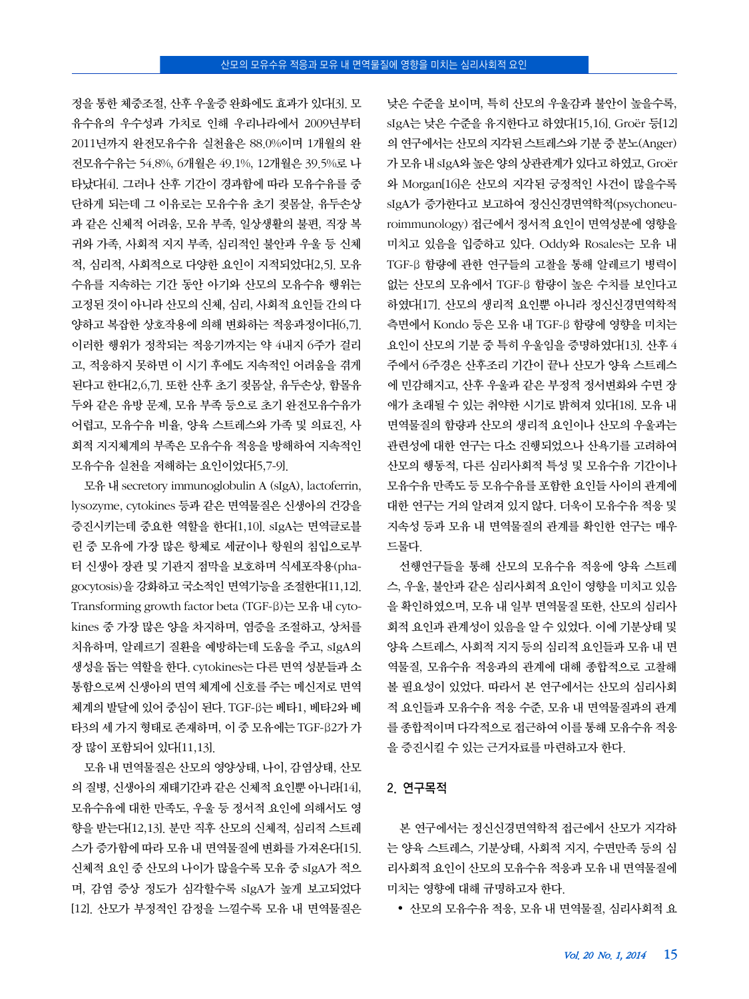정을 통한 체중조절, 산후 우울증 완화에도 효과가 있다[3]. 모 유수유의 우수성과 가치로 인해 우리나라에서 2009년부터 2011년까지 완전모유수유 실천율은 88.0%이며 1개월의 완 전모유수유는 54.8%, 6개월은 49.1%, 12개월은 39.5%로 나 타났다[4]. 그러나 산후 기간이 경과함에 따라 모유수유를 중 단하게 되는데 그 이유로는 모유수유 초기 젖몸살, 유두손상 과 같은 신체적 어려움, 모유 부족, 일상생활의 불편, 직장 복 귀와 가족, 사회적 지지 부족, 심리적인 불안과 우울 등 신체 적, 심리적, 사회적으로 다양한 요인이 지적되었다[2,5]. 모유 수유를 지속하는 기간 동안 아기와 산모의 모유수유 행위는 고정된 것이 아니라 산모의 신체, 심리, 사회적 요인들 간의 다 양하고 복잡한 상호작용에 의해 변화하는 적응과정이다[6,7]. 이러한 행위가 정착되는 적응기까지는 약 4내지 6주가 걸리 고, 적응하지 못하면 이 시기 후에도 지속적인 어려움을 겪게 된다고 한다[2,6,7]. 또한 산후 초기 젖몸살, 유두손상, 함몰유 두와 같은 유방 문제, 모유 부족 등으로 초기 완전모유수유가 어렵고, 모유수유 비율, 양육 스트레스와 가족 및 의료진, 사 회적 지지체계의 부족은 모유수유 적응을 방해하여 지속적인 모유수유 실천을 저해하는 요인이었다[5,7-9].

모유 내 secretory immunoglobulin A (sIgA), lactoferrin, lysozyme, cytokines 등과 같은 면역물질은 신생아의 건강을 증진시키는데 중요한 역할을 한다[1,10]. sIgA는 면역글로블 린 중 모유에 가장 많은 항체로 세균이나 항원의 침입으로부 터 신생아 장관 및 기관지 점막을 보호하며 식세포작용(phagocytosis)을 강화하고 국소적인 면역기능을 조절한다[11,12]. Transforming growth factor beta (TGF-β)는 모유 내 cytokines 중 가장 많은 양을 차지하며, 염증을 조절하고, 상처를 치유하며, 알레르기 질환을 예방하는데 도움을 주고, sIgA의 생성을 돕는 역할을 한다. cytokines는 다른 면역 성분들과 소 통함으로써 신생아의 면역 체계에 신호를 주는 메신저로 면역 체계의 발달에 있어 중심이 된다. TGF-β는 베타1, 베타2와 베 타3의 세 가지 형태로 존재하며, 이 중 모유에는 TGF-β2가 가 장 많이 포함되어 있다[11,13].

모유 내 면역물질은 산모의 영양상태, 나이, 감염상태, 산모 의 질병, 신생아의 재태기간과 같은 신체적 요인뿐 아니라[14], 모유수유에 대한 만족도, 우울 등 정서적 요인에 의해서도 영 향을 받는다[12,13]. 분만 직후 산모의 신체적, 심리적 스트레 스가 증가함에 따라 모유 내 면역물질에 변화를 가져온다[15]. 신체적 요인 중 산모의 나이가 많을수록 모유 중 sIgA가 적으 며, 감염 증상 정도가 심각할수록 sIgA가 높게 보고되었다 [12]. 산모가 부정적인 감정을 느낄수록 모유 내 면역물질은

낮은 수준을 보이며, 특히 산모의 우울감과 불안이 높을수록, sIgA는 낮은 수준을 유지한다고 하였다[15,16]. Groër 등[12] 의 연구에서는 산모의 지각된 스트레스와 기분 중 분노(Anger) 가 모유 내 sIgA와 높은 양의 상관관계가 있다고 하였고, Groër 와 Morgan[16]은 산모의 지각된 긍정적인 사건이 많을수록 sIgA가 증가한다고 보고하여 정신신경면역학적(psychoneuroimmunology) 접근에서 정서적 요인이 면역성분에 영향을 미치고 있음을 입증하고 있다. Oddy와 Rosales는 모유 내 TGF-β 함량에 관한 연구들의 고찰을 통해 알레르기 병력이 없는 산모의 모유에서 TGF-β 함량이 높은 수치를 보인다고 하였다[17]. 산모의 생리적 요인뿐 아니라 정신신경면역학적 측면에서 Kondo 등은 모유 내 TGF-β 함량에 영향을 미치는 요인이 산모의 기분 중 특히 우울임을 증명하였다[13]. 산후 4 주에서 6주경은 산후조리 기간이 끝나 산모가 양육 스트레스 에 민감해지고, 산후 우울과 같은 부정적 정서변화와 수면 장 애가 초래될 수 있는 취약한 시기로 밝혀져 있다[18]. 모유 내 면역물질의 함량과 산모의 생리적 요인이나 산모의 우울과는 관련성에 대한 연구는 다소 진행되었으나 산욕기를 고려하여 산모의 행동적, 다른 심리사회적 특성 및 모유수유 기간이나 모유수유 만족도 등 모유수유를 포함한 요인들 사이의 관계에 대한 연구는 거의 알려져 있지 않다. 더욱이 모유수유 적응 및 지속성 등과 모유 내 면역물질의 관계를 확인한 연구는 매우 드물다.

선행연구들을 통해 산모의 모유수유 적응에 양육 스트레 스, 우울, 불안과 같은 심리사회적 요인이 영향을 미치고 있음 을 확인하였으며, 모유 내 일부 면역물질 또한, 산모의 심리사 회적 요인과 관계성이 있음을 알 수 있었다. 이에 기분상태 및 양육 스트레스, 사회적 지지 등의 심리적 요인들과 모유 내 면 역물질, 모유수유 적응과의 관계에 대해 종합적으로 고찰해 볼 필요성이 있었다. 따라서 본 연구에서는 산모의 심리사회 적 요인들과 모유수유 적응 수준, 모유 내 면역물질과의 관계 를 종합적이며 다각적으로 접근하여 이를 통해 모유수유 적응 을 증진시킬 수 있는 근거자료를 마련하고자 한다.

#### 2. 연구목적

본 연구에서는 정신신경면역학적 접근에서 산모가 지각하 는 양육 스트레스, 기분상태, 사회적 지지, 수면만족 등의 심 리사회적 요인이 산모의 모유수유 적응과 모유 내 면역물질에 미치는 영향에 대해 규명하고자 한다.

y 산모의 모유수유 적응, 모유 내 면역물질, 심리사회적 요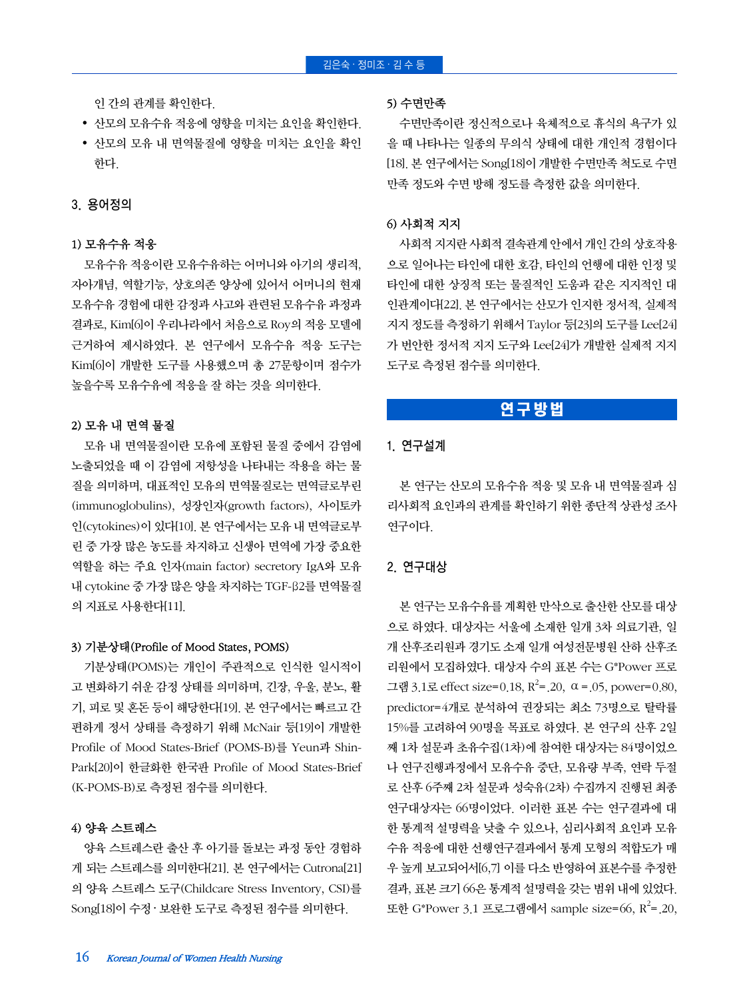인 간의 관계를 확인한다.

- 산모의 모유수유 적응에 영향을 미치는 요인을 확인한다.
- 산모의 모유 내 면역물질에 영향을 미치는 요인을 확인 한다.

# 3. 용어정의

# 1) 모유수유 적응

모유수유 적응이란 모유수유하는 어머니와 아기의 생리적, 자아개념, 역할기능, 상호의존 양상에 있어서 어머니의 현재 모유수유 경험에 대한 감정과 사고와 관련된 모유수유 과정과 결과로, Kim[6]이 우리나라에서 처음으로 Roy의 적응 모델에 근거하여 제시하였다. 본 연구에서 모유수유 적응 도구는 Kim[6]이 개발한 도구를 사용했으며 총 27문항이며 점수가 높을수록 모유수유에 적응을 잘 하는 것을 의미한다.

# 2) 모유 내 면역 물질

모유 내 면역물질이란 모유에 포함된 물질 중에서 감염에 노출되었을 때 이 감염에 저항성을 나타내는 작용을 하는 물 질을 의미하며, 대표적인 모유의 면역물질로는 면역글로부린 (immunoglobulins), 성장인자(growth factors), 사이토카 인(cytokines)이 있다[10]. 본 연구에서는 모유 내 면역글로부 린 중 가장 많은 농도를 차지하고 신생아 면역에 가장 중요한 역할을 하는 주요 인자(main factor) secretory IgA와 모유 내 cytokine 중 가장 많은 양을 차지하는 TGF-β2를 면역물질 의 지표로 사용한다[11].

# 3) 기분상태(Profile of Mood States, POMS)

기분상태(POMS)는 개인이 주관적으로 인식한 일시적이 고 변화하기 쉬운 감정 상태를 의미하며, 긴장, 우울, 분노, 활 기, 피로 및 혼돈 등이 해당한다[19]. 본 연구에서는 빠르고 간 편하게 정서 상태를 측정하기 위해 McNair 등[19]이 개발한 Profile of Mood States-Brief (POMS-B)를 Yeun과 Shin-Park[20]이 한글화한 한국판 Profile of Mood States-Brief (K-POMS-B)로 측정된 점수를 의미한다.

# 4) 양육 스트레스

양육 스트레스란 출산 후 아기를 돌보는 과정 동안 경험하 게 되는 스트레스를 의미한다[21]. 본 연구에서는 Cutrona[21] 의 양육 스트레스 도구(Childcare Stress Inventory, CSI)를 Song[18]이 수정 · 보완한 도구로 측정된 점수를 의미한다.

#### 5) 수면만족

수면만족이란 정신적으로나 육체적으로 휴식의 욕구가 있 을 때 나타나는 일종의 무의식 상태에 대한 개인적 경험이다 [18]. 본 연구에서는 Song[18]이 개발한 수면만족 척도로 수면 만족 정도와 수면 방해 정도를 측정한 값을 의미한다.

## 6) 사회적 지지

사회적 지지란 사회적 결속관계 안에서 개인 간의 상호작용 으로 일어나는 타인에 대한 호감, 타인의 언행에 대한 인정 및 타인에 대한 상징적 또는 물질적인 도움과 같은 지지적인 대 인관계이다[22]. 본 연구에서는 산모가 인지한 정서적, 실제적 지지 정도를 측정하기 위해서 Taylor 등[23]의 도구를 Lee[24] 가 번안한 정서적 지지 도구와 Lee[24]가 개발한 실제적 지지 도구로 측정된 점수를 의미한다.

# 연구방법

# 1. 연구설계

본 연구는 산모의 모유수유 적응 및 모유 내 면역물질과 심 리사회적 요인과의 관계를 확인하기 위한 종단적 상관성 조사 연구이다.

# 2. 연구대상

본 연구는 모유수유를 계획한 만삭으로 출산한 산모를 대상 으로 하였다. 대상자는 서울에 소재한 일개 3차 의료기관, 일 개 산후조리원과 경기도 소재 일개 여성전문병원 산하 산후조 리원에서 모집하였다. 대상자 수의 표본 수는 G\*Power 프로 그램 3.1로 effect size=0.18,  $R^2$ =.20,  $\alpha$  =.05, power=0.80, predictor=4개로 분석하여 권장되는 최소 73명으로 탈락률 15%를 고려하여 90명을 목표로 하였다. 본 연구의 산후 2일 째 1차 설문과 초유수집(1차)에 참여한 대상자는 84명이었으 나 연구진행과정에서 모유수유 중단, 모유량 부족, 연락 두절 로 산후 6주째 2차 설문과 성숙유(2차) 수집까지 진행된 최종 연구대상자는 66명이었다. 이러한 표본 수는 연구결과에 대 한 통계적 설명력을 낮출 수 있으나, 심리사회적 요인과 모유 수유 적응에 대한 선행연구결과에서 통계 모형의 적합도가 매 우 높게 보고되어서[6,7] 이를 다소 반영하여 표본수를 추정한 결과, 표본 크기 66은 통계적 설명력을 갖는 범위 내에 있었다. 또한 G\*Power 3.1 프로그램에서 sample size=66,  $R^2$ =.20,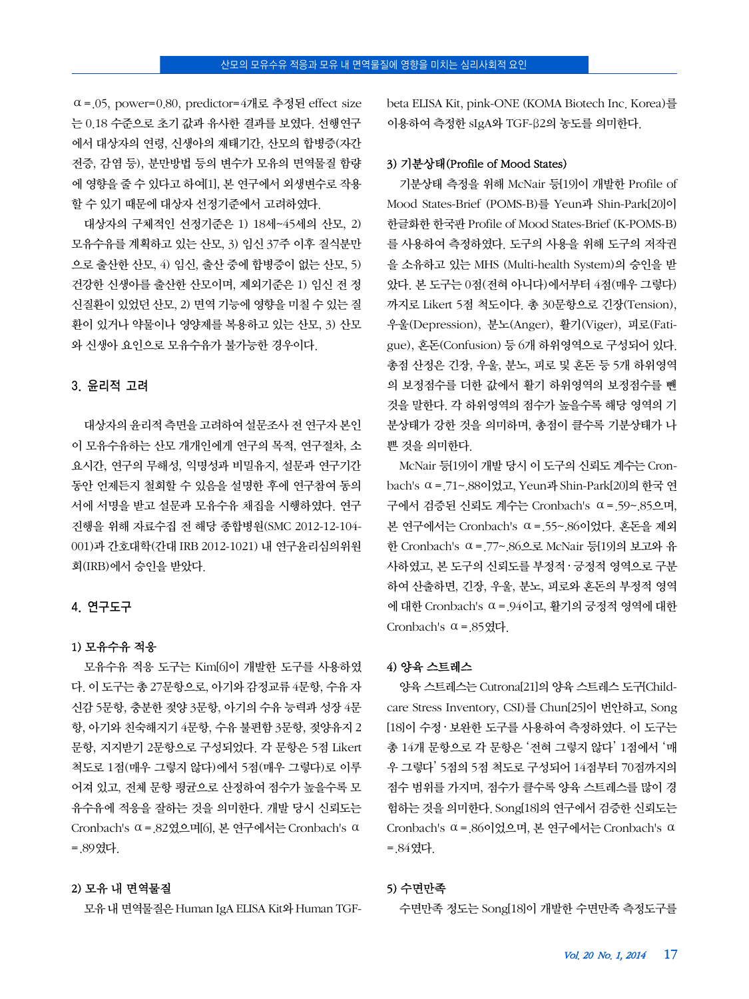$\alpha$  = 0.05, power=0.80, predictor=4개로 추정된 effect size 는 0.18 수준으로 초기 값과 유사한 결과를 보였다. 선행연구 에서 대상자의 연령, 신생아의 재태기간, 산모의 합병증(자간 전증, 감염 등), 분만방법 등의 변수가 모유의 면역물질 함량 에 영향을 줄 수 있다고 하여[1], 본 연구에서 외생변수로 작용 할 수 있기 때문에 대상자 선정기준에서 고려하였다.

대상자의 구체적인 선정기준은 1) 18세~45세의 산모, 2) 모유수유를 계획하고 있는 산모, 3) 임신 37주 이후 질식분만 으로 출산한 산모, 4) 임신, 출산 중에 합병증이 없는 산모, 5) 건강한 신생아를 출산한 산모이며, 제외기준은 1) 임신 전 정 신질환이 있었던 산모, 2) 면역 기능에 영향을 미칠 수 있는 질 환이 있거나 약물이나 영양제를 복용하고 있는 산모, 3) 산모 와 신생아 요인으로 모유수유가 불가능한 경우이다.

## 3. 윤리적 고려

대상자의 윤리적 측면을 고려하여 설문조사 전 연구자 본인 이 모유수유하는 산모 개개인에게 연구의 목적, 연구절차, 소 요시간, 연구의 무해성, 익명성과 비밀유지, 설문과 연구기간 동안 언제든지 철회할 수 있음을 설명한 후에 연구참여 동의 서에 서명을 받고 설문과 모유수유 채집을 시행하였다. 연구 진행을 위해 자료수집 전 해당 종합병원(SMC 2012-12-104- 001)과 간호대학(간대 IRB 2012-1021) 내 연구윤리심의위원 회(IRB)에서 승인을 받았다.

### 4. 연구도구

#### 1) 모유수유 적응

모유수유 적응 도구는 Kim[6]이 개발한 도구를 사용하였 다. 이 도구는 총 27문항으로, 아기와 감정교류 4문항, 수유 자 신감 5문항, 충분한 젖양 3문항, 아기의 수유 능력과 성장 4문 항, 아기와 친숙해지기 4문항, 수유 불편함 3문항, 젖양유지 2 문항, 지지받기 2문항으로 구성되었다. 각 문항은 5점 Likert 척도로 1점(매우 그렇지 않다)에서 5점(매우 그렇다)로 이루 어져 있고, 전체 문항 평균으로 산정하여 점수가 높을수록 모 유수유에 적응을 잘하는 것을 의미한다. 개발 당시 신뢰도는 Cronbach's  $\alpha$  = 82였으며[6], 본 연구에서는 Cronbach's  $\alpha$ =.89였다.

#### 2) 모유 내 면역물질

모유 내 면역물질은 Human IgA ELISA Kit와 Human TGF-

beta ELISA Kit, pink-ONE (KOMA Biotech Inc. Korea)를 이용하여 측정한 sIgA와 TGF-β2의 농도를 의미한다.

# 3) 기분상태(Profile of Mood States)

기분상태 측정을 위해 McNair 등[19]이 개발한 Profile of Mood States-Brief (POMS-B)를 Yeun과 Shin-Park[20]이 한글화한 한국판 Profile of Mood States-Brief (K-POMS-B) 를 사용하여 측정하였다. 도구의 사용을 위해 도구의 저작권 을 소유하고 있는 MHS (Multi-health System)의 승인을 받 았다. 본 도구는 0점(전혀 아니다)에서부터 4점(매우 그렇다) 까지로 Likert 5점 척도이다. 총 30문항으로 긴장(Tension), 우울(Depression), 분노(Anger), 활기(Viger), 피로(Fatigue), 혼돈(Confusion) 등 6개 하위영역으로 구성되어 있다. 총점 산정은 긴장, 우울, 분노, 피로 및 혼돈 등 5개 하위영역 의 보정점수를 더한 값에서 활기 하위영역의 보정점수를 뺀 것을 말한다. 각 하위영역의 점수가 높을수록 해당 영역의 기 분상태가 강한 것을 의미하며, 총점이 클수록 기분상태가 나 쁜 것을 의미한다.

McNair 등[19]이 개발 당시 이 도구의 신뢰도 계수는 Cronbach's ⍺=.71~.88이었고, Yeun과 Shin-Park[20]의 한국 연 구에서 검증된 신뢰도 계수는 Cronbach's ⍺=.59~.85으며, 본 연구에서는 Cronbach's ⍺=.55~.86이었다. 혼돈을 제외 한 Cronbach's ⍺=.77~.86으로 McNair 등[19]의 보고와 유 사하였고, 본 도구의 신뢰도를 부정적 · 긍정적 영역으로 구분 하여 산출하면, 긴장, 우울, 분노, 피로와 혼돈의 부정적 영역 에 대한 Cronbach's ⍺=.94이고, 활기의 긍정적 영역에 대한 Cronbach's  $\alpha$  = 85였다.

## 4) 양육 스트레스

양육 스트레스는 Cutrona[21]의 양육 스트레스 도구[Childcare Stress Inventory, CSI)를 Chun[25]이 번안하고, Song [18]이 수정 ‧ 보완한 도구를 사용하여 측정하였다. 이 도구는 총 14개 문항으로 각 문항은 '전혀 그렇지 않다' 1점에서 '매 우 그렇다' 5점의 5점 척도로 구성되어 14점부터 70점까지의 점수 범위를 가지며, 점수가 클수록 양육 스트레스를 많이 경 험하는 것을 의미한다. Song[18]의 연구에서 검증한 신뢰도는 Cronbach's ⍺=.86이었으며, 본 연구에서는 Cronbach's ⍺ =.84였다.

#### 5) 수면만족

수면만족 정도는 Song[18]이 개발한 수면만족 측정도구를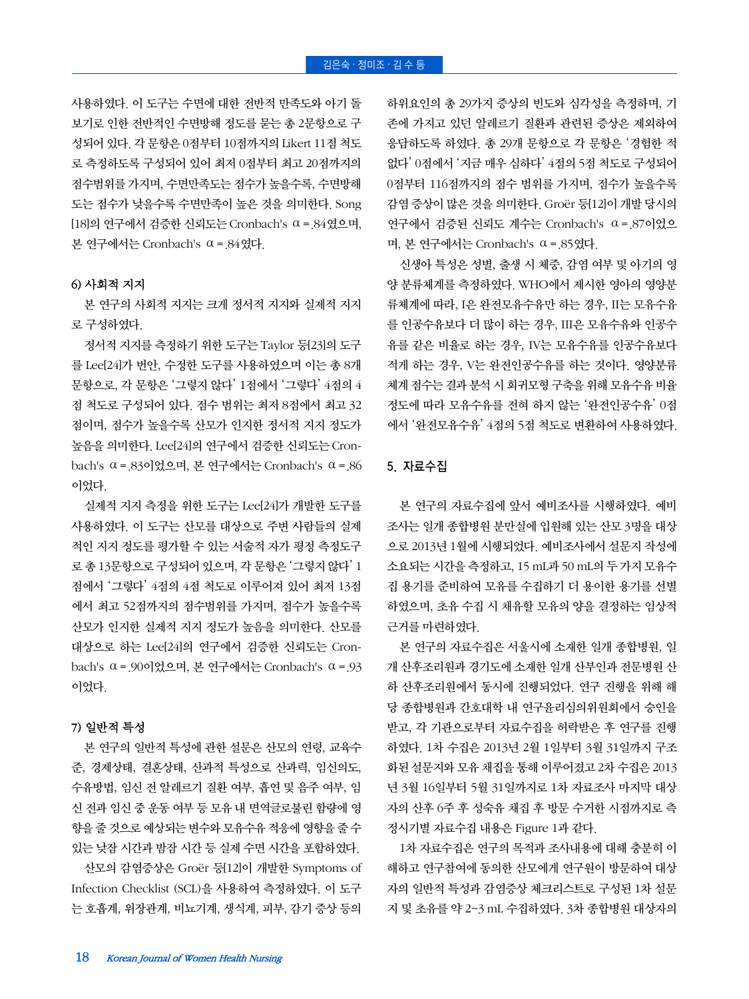사용하였다. 이 도구는 수면에 대한 전반적 만족도와 아기 돌 보기로 인한 전반적인 수면방해 정도를 묻는 총 2문항으로 구 성되어 있다. 각 문항은 0점부터 10점까지의 Likert 11점 척도 로 측정하도록 구성되어 있어 최저 0점부터 최고 20점까지의 점수범위를 가지며, 수면만족도는 점수가 높을수록, 수면방해 도는 점수가 낮을수록 수면만족이 높은 것을 의미한다. Song [18]의 연구에서 검증한 신뢰도는 Cronbach's ⍺=.84였으며, 본 연구에서는 Cronbach's ⍺=.84였다.

#### 6) 사회적 지지

본 연구의 사회적 지지는 크게 정서적 지지와 실제적 지지 로 구성하였다.

정서적 지지를 측정하기 위한 도구는 Taylor 등[23]의 도구 를 Lee[24]가 번안, 수정한 도구를 사용하였으며 이는 총 8개 문항으로, 각 문항은 '그렇지 않다' 1점에서 '그렇다' 4점의 4 점 척도로 구성되어 있다. 점수 범위는 최저 8점에서 최고 32 점이며, 점수가 높을수록 산모가 인지한 정서적 지지 정도가 높음을 의미한다. Lee[24]의 연구에서 검증한 신뢰도는 Cronbach's ⍺=.83이었으며, 본 연구에서는 Cronbach's ⍺=.86 이었다.

실제적 지지 측정을 위한 도구는 Lee[24]가 개발한 도구를 사용하였다. 이 도구는 산모를 대상으로 주변 사람들의 실제 적인 지지 정도를 평가할 수 있는 서술적 자가 평정 측정도구 로 총 13문항으로 구성되어 있으며, 각 문항은 '그렇지 않다' 1 점에서 '그렇다' 4점의 4점 척도로 이루어져 있어 최저 13점 에서 최고 52점까지의 점수범위를 가지며, 점수가 높을수록 산모가 인지한 실제적 지지 정도가 높음을 의미한다. 산모를 대상으로 하는 Lee[24]의 연구에서 검증한 신뢰도는 Cronbach's ⍺=.90이었으며, 본 연구에서는 Cronbach's ⍺=.93 이었다.

## 7) 일반적 특성

본 연구의 일반적 특성에 관한 설문은 산모의 연령, 교육수 준, 경제상태, 결혼상태, 산과적 특성으로 산과력, 임신의도, 수유방법, 임신 전 알레르기 질환 여부, 흡연 및 음주 여부, 임 신 전과 임신 중 운동 여부 등 모유 내 면역글로불린 함량에 영 향을 줄 것으로 예상되는 변수와 모유수유 적응에 영향을 줄 수 있는 낮잠 시간과 밤잠 시간 등 실제 수면 시간을 포함하였다.

산모의 감염증상은 Groër 등[12]이 개발한 Symptoms of Infection Checklist (SCL)을 사용하여 측정하였다. 이 도구 는 호흡계, 위장관계, 비뇨기계, 생식계, 피부, 감기 증상 등의 하위요인의 총 29가지 증상의 빈도와 심각성을 측정하며, 기 존에 가지고 있던 알레르기 질환과 관련된 증상은 제외하여 응답하도록 하였다. 총 29개 문항으로 각 문항은 '경험한 적 없다' 0점에서 '지금 매우 심하다' 4점의 5점 척도로 구성되어 0점부터 116점까지의 점수 범위를 가지며, 점수가 높을수록 감염 증상이 많은 것을 의미한다. Groër 등[12]이 개발 당시의 연구에서 검증된 신뢰도 계수는 Cronbach's ⍺=.87이었으 며, 본 연구에서는 Cronbach's ⍺=.85였다.

신생아 특성은 성별, 출생 시 체중, 감염 여부 및 아기의 영 양 분류체계를 측정하였다. WHO에서 제시한 영아의 영양분 류체계에 따라, I은 완전모유수유만 하는 경우, II는 모유수유 를 인공수유보다 더 많이 하는 경우, III은 모유수유와 인공수 유를 같은 비율로 하는 경우, IV는 모유수유를 인공수유보다 적게 하는 경우, V는 완전인공수유를 하는 것이다. 영양분류 체계 점수는 결과 분석 시 회귀모형 구축을 위해 모유수유 비율 정도에 따라 모유수유를 전혀 하지 않는 '완전인공수유' 0점 에서 '완전모유수유' 4점의 5점 척도로 변환하여 사용하였다.

# 5. 자료수집

본 연구의 자료수집에 앞서 예비조사를 시행하였다. 예비 조사는 일개 종합병원 분만실에 입원해 있는 산모 3명을 대상 으로 2013년 1월에 시행되었다. 예비조사에서 설문지 작성에 소요되는 시간을 측정하고, 15 mL과 50 mL의 두 가지 모유수 집 용기를 준비하여 모유를 수집하기 더 용이한 용기를 선별 하였으며, 초유 수집 시 채유할 모유의 양을 결정하는 임상적 근거를 마련하였다.

본 연구의 자료수집은 서울시에 소재한 일개 종합병원, 일 개 산후조리원과 경기도에 소재한 일개 산부인과 전문병원 산 하 산후조리원에서 동시에 진행되었다. 연구 진행을 위해 해 당 종합병원과 간호대학 내 연구윤리심의위원회에서 승인을 받고, 각 기관으로부터 자료수집을 허락받은 후 연구를 진행 하였다. 1차 수집은 2013년 2월 1일부터 3월 31일까지 구조 화된 설문지와 모유 채집을 통해 이루어졌고 2차 수집은 2013 년 3월 16일부터 5월 31일까지로 1차 자료조사 마지막 대상 자의 산후 6주 후 성숙유 채집 후 방문 수거한 시점까지로 측 정시기별 자료수집 내용은 Figure 1과 같다.

1차 자료수집은 연구의 목적과 조사내용에 대해 충분히 이 해하고 연구참여에 동의한 산모에게 연구원이 방문하여 대상 자의 일반적 특성과 감염증상 체크리스트로 구성된 1차 설문 지 및 초유를 약 2~3 mL 수집하였다. 3차 종합병원 대상자의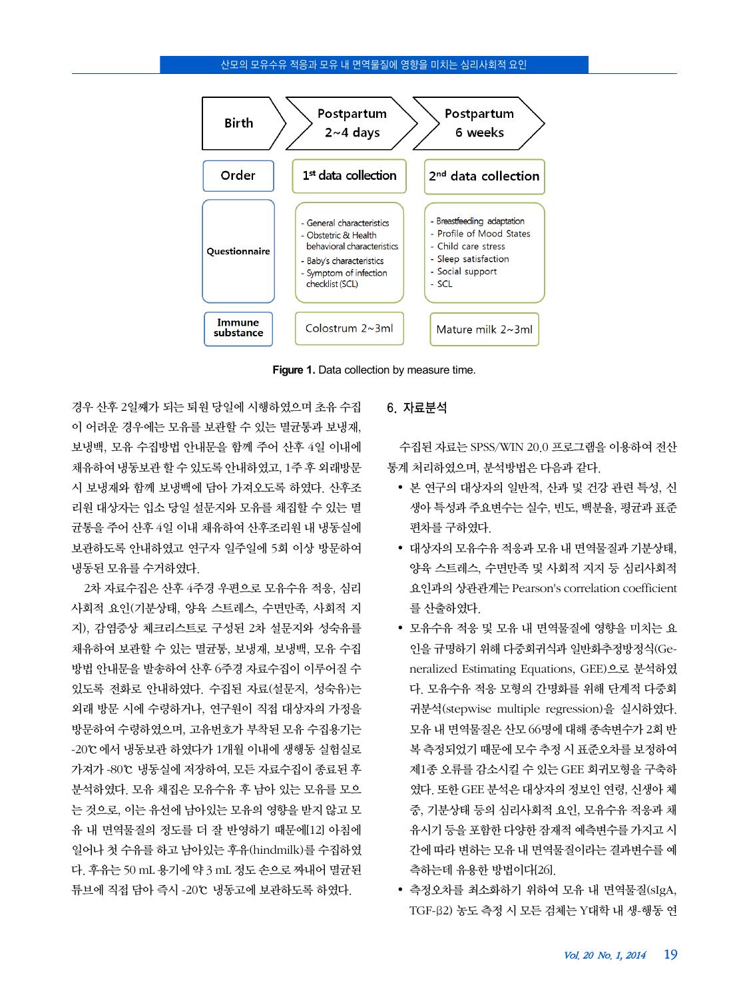

Figure 1. Data collection by measure time.

경우 산후 2일째가 되는 퇴원 당일에 시행하였으며 초유 수집 이 어려운 경우에는 모유를 보관할 수 있는 멸균통과 보냉재, 보냉백, 모유 수집방법 안내문을 함께 주어 산후 4일 이내에 채유하여 냉동보관 할 수 있도록 안내하였고, 1주 후 외래방문 시 보냉재와 함께 보냉백에 담아 가져오도록 하였다. 산후조 리원 대상자는 입소 당일 설문지와 모유를 채집할 수 있는 멸 균통을 주어 산후 4일 이내 채유하여 산후조리원 내 냉동실에 보관하도록 안내하였고 연구자 일주일에 5회 이상 방문하여 냉동된 모유를 수거하였다.

2차 자료수집은 산후 4주경 우편으로 모유수유 적응, 심리 사회적 요인(기분상태, 양육 스트레스, 수면만족, 사회적 지 지), 감염증상 체크리스트로 구성된 2차 설문지와 성숙유를 채유하여 보관할 수 있는 멸균통, 보냉재, 보냉백, 모유 수집 방법 안내문을 발송하여 산후 6주경 자료수집이 이루어질 수 있도록 전화로 안내하였다. 수집된 자료(설문지, 성숙유)는 외래 방문 시에 수령하거나, 연구원이 직접 대상자의 가정을 방문하여 수령하였으며, 고유번호가 부착된 모유 수집용기는 -20℃에서 냉동보관 하였다가 1개월 이내에 생행동 실험실로 가져가 -80℃ 냉동실에 저장하여, 모든 자료수집이 종료된 후 분석하였다. 모유 채집은 모유수유 후 남아 있는 모유를 모으 는 것으로, 이는 유선에 남아있는 모유의 영향을 받지 않고 모 유 내 면역물질의 정도를 더 잘 반영하기 때문에[12] 아침에 일어나 첫 수유를 하고 남아있는 후유(hindmilk)를 수집하였 다. 후유는 50 mL 용기에 약 3 mL 정도 손으로 짜내어 멸균된 튜브에 직접 담아 즉시 -20℃ 냉동고에 보관하도록 하였다.

# 6. 자료분석

수집된 자료는 SPSS/WIN 20.0 프로그램을 이용하여 전산 통계 처리하였으며, 분석방법은 다음과 같다.

- 본 연구의 대상자의 일반적, 산과 및 건강 관련 특성, 신 생아 특성과 주요변수는 실수, 빈도, 백분율, 평균과 표준 편차를 구하였다.
- 대상자의 모유수유 적응과 모유 내 면역물질과 기분상태, 양육 스트레스, 수면만족 및 사회적 지지 등 심리사회적 요인과의 상관관계는 Pearson's correlation coefficient 를 산출하였다.
- 모유수유 적응 및 모유 내 면역물질에 영향을 미치는 요 인을 규명하기 위해 다중회귀식과 일반화추정방정식(Generalized Estimating Equations, GEE)으로 분석하였 다. 모유수유 적응 모형의 간명화를 위해 단계적 다중회 귀분석(stepwise multiple regression)을 실시하였다. 모유 내 면역물질은 산모 66명에 대해 종속변수가 2회 반 복 측정되었기 때문에 모수 추정 시 표준오차를 보정하여 제1종 오류를 감소시킬 수 있는 GEE 회귀모형을 구축하 였다. 또한 GEE 분석은 대상자의 정보인 연령, 신생아 체 중, 기분상태 등의 심리사회적 요인, 모유수유 적응과 채 유시기 등을 포함한 다양한 잠재적 예측변수를 가지고 시 간에 따라 변하는 모유 내 면역물질이라는 결과변수를 예 측하는데 유용한 방법이다[26].
- 측정오차를 최소화하기 위하여 모유 내 면역물질(sIgA, TGF-β2) 농도 측정 시 모든 검체는 Y대학 내 생-행동 연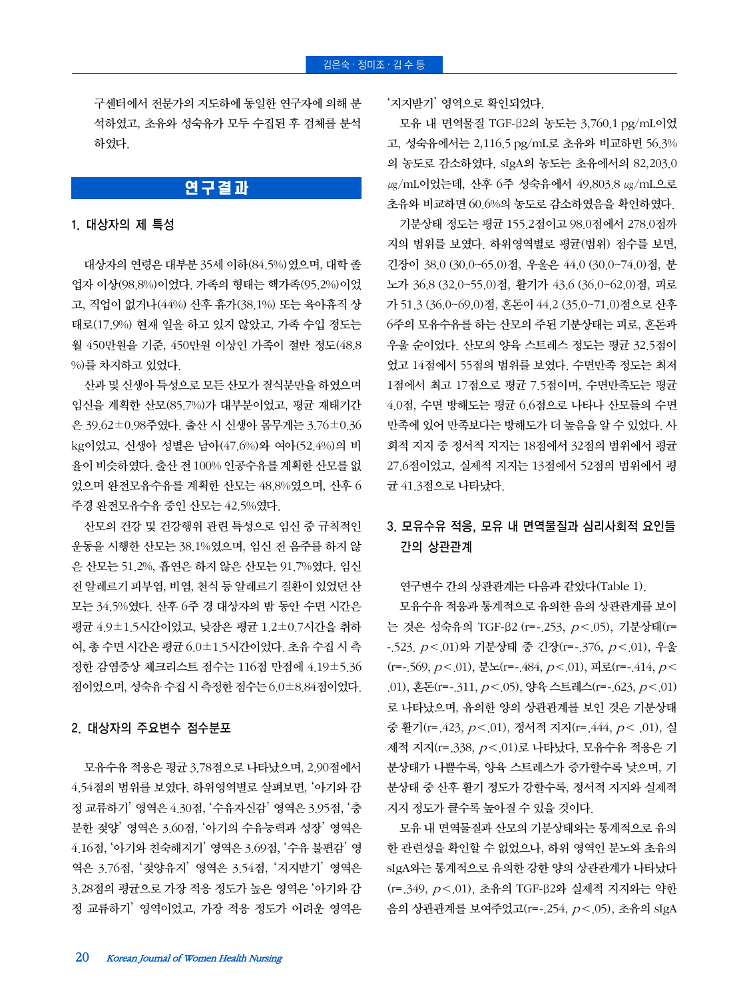구센터에서 전문가의 지도하에 동일한 연구자에 의해 분 석하였고, 초유와 성숙유가 모두 수집된 후 검체를 분석 하였다.

# 연구결과

## 1. 대상자의 제 특성

대상자의 연령은 대부분 35세 이하(84.5%)였으며, 대학 졸 업자 이상(98.8%)이었다. 가족의 형태는 핵가족(95.2%)이었 고, 직업이 없거나(44%) 산후 휴가(38.1%) 또는 육아휴직 상 태로(17.9%) 현재 일을 하고 있지 않았고, 가족 수입 정도는 월 450만원을 기준, 450만원 이상인 가족이 절반 정도(48.8 %)를 차지하고 있었다.

산과 및 신생아 특성으로 모든 산모가 질식분만을 하였으며 임신을 계획한 산모(85.7%)가 대부분이었고, 평균 재태기간 은 39.62±0.98주였다. 출산 시 신생아 몸무게는 3.76±0.36 kg이었고, 신생아 성별은 남아(47.6%)와 여아(52.4%)의 비 율이 비슷하였다. 출산 전 100% 인공수유를 계획한 산모를 없 었으며 완전모유수유를 계획한 산모는 48.8%였으며, 산후 6 주경 완전모유수유 중인 산모는 42.5%였다.

산모의 건강 및 건강행위 관련 특성으로 임신 중 규칙적인 운동을 시행한 산모는 38.1%였으며, 임신 전 음주를 하지 않 은 산모는 51.2%, 흡연은 하지 않은 산모는 91.7%였다. 임신 전 알레르기 피부염, 비염, 천식 등 알레르기 질환이 있었던 산 모는 34.5%였다. 산후 6주 경 대상자의 밤 동안 수면 시간은 평균 4.9±1.5시간이었고, 낮잠은 평균 1.2±0.7시간을 취하 여, 총 수면 시간은 평균 6.0±1.5시간이었다. 초유 수집 시 측 정한 감염증상 체크리스트 점수는 116점 만점에 4.19±5.36 점이었으며, 성숙유 수집 시 측정한 점수는 6.0±8.84점이었다.

## 2. 대상자의 주요변수 점수분포

모유수유 적응은 평균 3.78점으로 나타났으며, 2.90점에서 4.54점의 범위를 보였다. 하위영역별로 살펴보면, '아기와 감 정 교류하기' 영역은 4.30점, '수유자신감' 영역은 3.95점, '충 분한 젖양' 영역은 3.60점, '아기의 수유능력과 성장' 영역은 4.16점, '아기와 친숙해지기' 영역은 3.69점, '수유 불편감' 영 역은 3.76점, '젖양유지' 영역은 3.54점, '지지받기' 영역은 3.28점의 평균으로 가장 적응 정도가 높은 영역은 '아기와 감 정 교류하기' 영역이었고, 가장 적응 정도가 어려운 영역은 '지지받기' 영역으로 확인되었다.

모유 내 면역물질 TGF-β2의 농도는 3,760.1 pg/mL이었 고, 성숙유에서는 2,116.5 pg/mL로 초유와 비교하면 56.3% 의 농도로 감소하였다. sIgA의 농도는 초유에서의 82,203.0 μg/mL이었는데, 산후 6주 성숙유에서 49,803.8 μg/mL으로 초유와 비교하면 60.6%의 농도로 감소하였음을 확인하였다.

기분상태 정도는 평균 155.2점이고 98.0점에서 278.0점까 지의 범위를 보였다. 하위영역별로 평균(범위) 점수를 보면, 긴장이 38.0 (30.0~65.0)점, 우울은 44.0 (30.0~74.0)점, 분 노가 36.8 (32.0~55.0)점, 활기가 43.6 (36.0~62.0)점, 피로 가 51.3 (36.0~69.0)점, 혼돈이 44.2 (35.0~71.0)점으로 산후 6주의 모유수유를 하는 산모의 주된 기분상태는 피로, 혼돈과 우울 순이었다. 산모의 양육 스트레스 정도는 평균 32.5점이 었고 14점에서 55점의 범위를 보였다. 수면만족 정도는 최저 1점에서 최고 17점으로 평균 7.5점이며, 수면만족도는 평균 4.0점, 수면 방해도는 평균 6.6점으로 나타나 산모들의 수면 만족에 있어 만족보다는 방해도가 더 높음을 알 수 있었다. 사 회적 지지 중 정서적 지지는 18점에서 32점의 범위에서 평균 27.6점이었고, 실제적 지지는 13점에서 52점의 범위에서 평 균 41.3점으로 나타났다.

# 3. 모유수유 적응, 모유 내 면역물질과 심리사회적 요인들 간의 상관관계

연구변수 간의 상관관계는 다음과 같았다(Table 1).

모유수유 적응과 통계적으로 유의한 음의 상관관계를 보이 는 것은 성숙유의 TGF-β2 (r=-.253, p<.05), 기분상태(r= -.523.  $p < .01$ )와 기분상태 중 긴장(r = -.376,  $p < .01$ ), 우울 (r=-.569,  $p$ <.01), 분노(r=-.484,  $p$ <.01), 피로(r=-.414,  $p$ <. .01), 혼돈(r = -.311,  $p$ <.05), 양육 스트레스(r = -.623,  $p$ <.01) 로 나타났으며, 유의한 양의 상관관계를 보인 것은 기분상태 중 활기(r=.423,  $p < 01$ ), 정서적 지지(r=.444,  $p < .01$ ), 실 제적 지지(r= 338,  $p < 01$ )로 나타났다. 모유수유 적응은 기 분상태가 나쁠수록, 양육 스트레스가 증가할수록 낮으며, 기 분상태 중 산후 활기 정도가 강할수록, 정서적 지지와 실제적 지지 정도가 클수록 높아질 수 있을 것이다.

모유 내 면역물질과 산모의 기분상태와는 통계적으로 유의 한 관련성을 확인할 수 없었으나, 하위 영역인 분노와 초유의 sIgA와는 통계적으로 유의한 강한 양의 상관관계가 나타났다 (r=.349, p<.01). 초유의 TGF-β2와 실제적 지지와는 약한 음의 상관관계를 보여주었고(r = 254,  $p < 0$ 5), 초유의 sIgA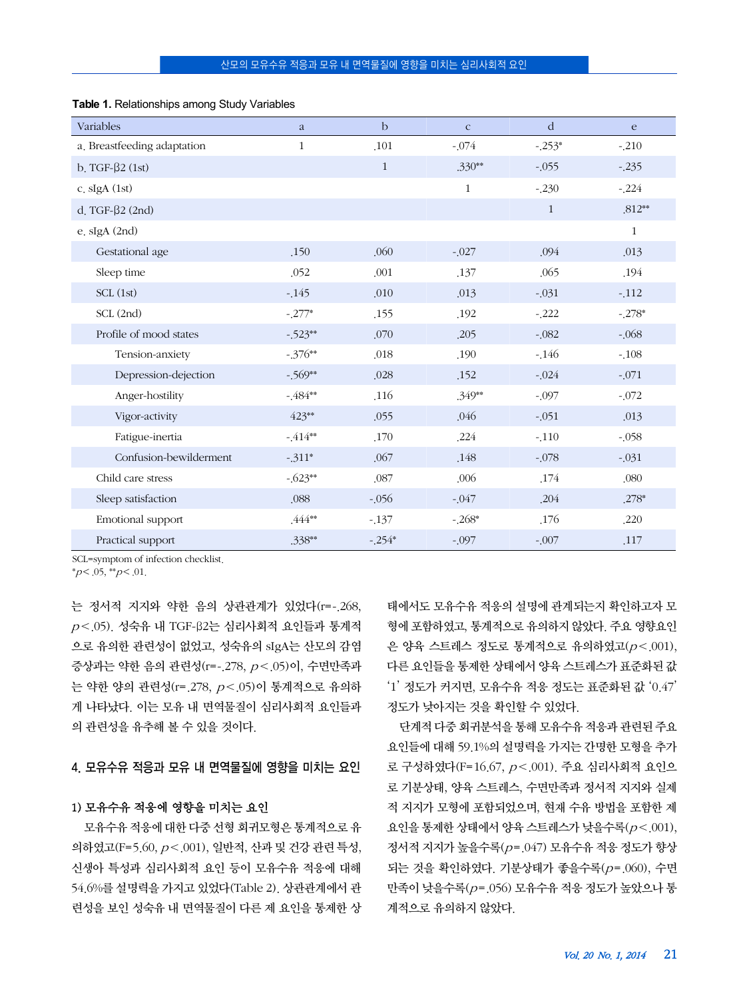| Variables                   | a            | $\mathbf b$  | $\mathbf{C}$ | d            | e            |
|-----------------------------|--------------|--------------|--------------|--------------|--------------|
| a. Breastfeeding adaptation | $\mathbf{1}$ | .101         | $-.074$      | $-.253*$     | $-210$       |
| b. TGF- $\beta$ 2 (1st)     |              | $\mathbf{1}$ | $.330**$     | $-0.055$     | $-235$       |
| c. $slgA(1st)$              |              |              | $\mathbf{1}$ | $-230$       | $-224$       |
| d. TGF- $\beta$ 2 (2nd)     |              |              |              | $\mathbf{1}$ | $.812**$     |
| e. sIgA (2nd)               |              |              |              |              | $\mathbf{1}$ |
| Gestational age             | .150         | .060         | $-027$       | .094         | .013         |
| Sleep time                  | .052         | .001         | .137         | .065         | .194         |
| SCL(1st)                    | $-145$       | .010         | .013         | $-0.031$     | $-112$       |
| SCL (2nd)                   | $-.277*$     | .155         | .192         | $-222$       | $-278*$      |
| Profile of mood states      | $-523**$     | .070         | .205         | $-0.082$     | $-068$       |
| Tension-anxiety             | $-.376**$    | .018         | .190         | $-146$       | $-108$       |
| Depression-dejection        | $-569**$     | .028         | .152         | $-0.024$     | $-.071$      |
| Anger-hostility             | $-484**$     | .116         | .349**       | $-.097$      | $-.072$      |
| Vigor-activity              | 423**        | .055         | .046         | $-0.051$     | .013         |
| Fatigue-inertia             | $-414**$     | .170         | ,224         | $-110$       | $-0.058$     |
| Confusion-bewilderment      | $-311*$      | .067         | .148         | $-.078$      | $-.031$      |
| Child care stress           | $-623**$     | .087         | .006         | .174         | .080         |
| Sleep satisfaction          | .088         | $-0.056$     | $-0.047$     | .204         | $.278*$      |
| Emotional support           | $.444***$    | $-137$       | $-268*$      | .176         | .220         |
| Practical support           | .338**       | $-254*$      | $-0.097$     | $-.007$      | .117         |

#### **Table 1.** Relationships among Study Variables

SCL=symptom of infection checklist.

 $*_{p} < .05, **_{p} < .01.$ 

는 정서적 지지와 약한 음의 상관관계가 있었다(r =- 268,  $p <$  (05). 성숙유 내 TGF-β2는 심리사회적 요이들과 통계적 으로 유의한 관련성이 없었고, 성숙유의 sIgA는 산모의 감염 증상과는 약한 음의 관련성(r = - 278,  $p <$  05)이, 수면만족과 는 약한 양의 관련성(r = 278,  $p < 0$ 5)이 통계적으로 유의하 게 나타났다. 이는 모유 내 면역물질이 심리사회적 요인들과 의 관련성을 유추해 볼 수 있을 것이다.

4. 모유수유 적응과 모유 내 면역물질에 영향을 미치는 요인

# 1) 모유수유 적응에 영향을 미치는 요인

모유수유 적응에 대한 다중 선형 회귀모형은 통계적으로 유 의하였고(F=5.60,  $p < 0.001$ ), 일반적, 산과 및 건강 관련 특성, 신생아 특성과 심리사회적 요인 등이 모유수유 적응에 대해 54.6%를 설명력을 가지고 있었다(Table 2). 상관관계에서 관 련성을 보인 성숙유 내 면역물질이 다른 제 요인을 통제한 상 태에서도 모유수유 적응의 설명에 관계되는지 확인하고자 모 형에 포함하였고, 통계적으로 유의하지 않았다. 주요 영향요인 은 양육 스트레스 정도로 통계적으로 유의하였고 $(p < .001)$ , 다른 요인들을 통제한 상태에서 양육 스트레스가 표준화된 값 '1' 정도가 커지면, 모유수유 적응 정도는 표준화된 값 '0.47' 정도가 낮아지는 것을 확인할 수 있었다.

단계적 다중 회귀분석을 통해 모유수유 적응과 관련된 주요 요인들에 대해 59.1%의 설명력을 가지는 간명한 모형을 추가 로 구성하였다(F=16.67, p<.001). 주요 심리사회적 요인으 로 기분상태, 양육 스트레스, 수면만족과 정서적 지지와 실제 적 지지가 모형에 포함되었으며, 현재 수유 방법을 포함한 제 요인을 통제한 상태에서 양육 스트레스가 낮을수록(p<.001), 정서적 지지가 높을수록(p=.047) 모유수유 적응 정도가 향상 되는 것을 확인하였다. 기분상태가 좋을수록(p=.060), 수면 만족이 낮을수록(p=.056) 모유수유 적응 정도가 높았으나 통 계적으로 유의하지 않았다.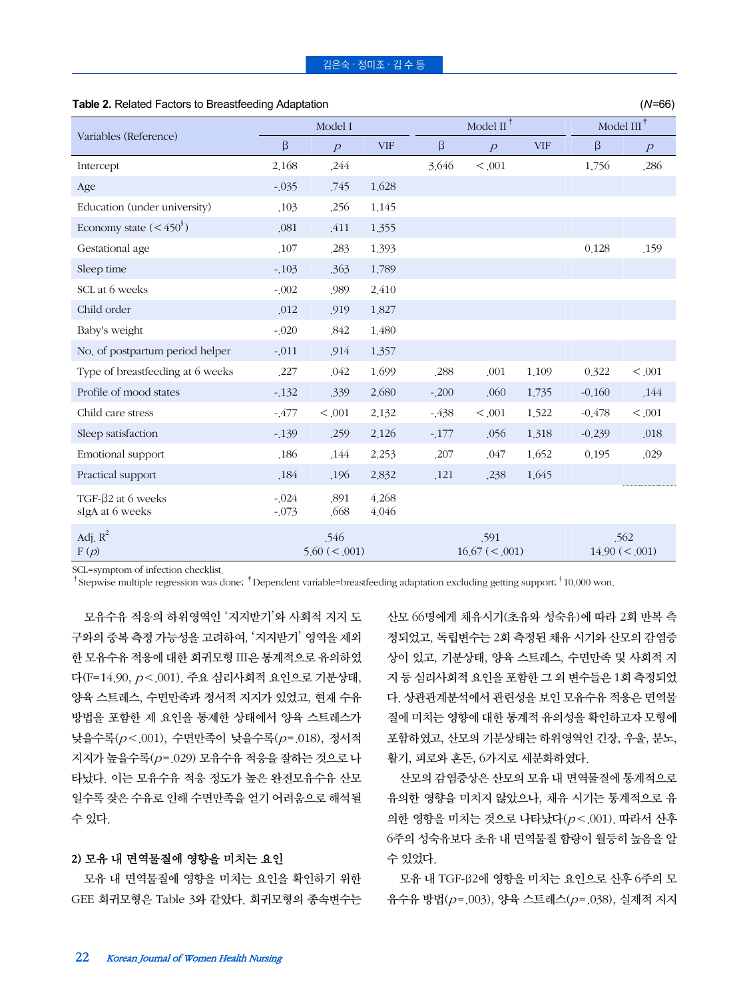|                                           | Model I              |                          |                | Model II $^{\dagger}$ |                           |            | Model III $^\dagger$ |                           |
|-------------------------------------------|----------------------|--------------------------|----------------|-----------------------|---------------------------|------------|----------------------|---------------------------|
| Variables (Reference)                     | $\beta$              | $\overline{P}$           | <b>VIF</b>     | β                     | $\overline{p}$            | <b>VIF</b> | β                    | $\overline{p}$            |
| Intercept                                 | 2,168                | .244                     |                | 3.646                 | < 0.001                   |            | 1,756                | ,286                      |
| Age                                       | $-035$               | .745                     | 1,628          |                       |                           |            |                      |                           |
| Education (under university)              | .103                 | .256                     | 1.145          |                       |                           |            |                      |                           |
| Economy state $(<\!450^\circ)$            | .081                 | .411                     | 1.355          |                       |                           |            |                      |                           |
| Gestational age                           | .107                 | .283                     | 1.393          |                       |                           |            | 0.128                | .159                      |
| Sleep time                                | $-.103$              | .363                     | 1.789          |                       |                           |            |                      |                           |
| SCL at 6 weeks                            | $-0.002$             | .989                     | 2.410          |                       |                           |            |                      |                           |
| Child order                               | .012                 | .919                     | 1,827          |                       |                           |            |                      |                           |
| Baby's weight                             | $-0.020$             | .842                     | 1,480          |                       |                           |            |                      |                           |
| No. of postpartum period helper           | $-011$               | .914                     | 1.357          |                       |                           |            |                      |                           |
| Type of breastfeeding at 6 weeks          | .227                 | .042                     | 1.699          | .288                  | .001                      | 1.109      | 0.322                | < 0.001                   |
| Profile of mood states                    | $-132$               | .339                     | 2,680          | $-200$                | .060                      | 1.735      | $-0.160$             | .144                      |
| Child care stress                         | $-477$               | < .001                   | 2.132          | $-438$                | < .001                    | 1,522      | $-0.478$             | < 0.001                   |
| Sleep satisfaction                        | $-139$               | .259                     | 2.126          | $-.177$               | .056                      | 1.318      | $-0.239$             | .018                      |
| Emotional support                         | .186                 | .144                     | 2.253          | .207                  | .047                      | 1.652      | 0.195                | .029                      |
| Practical support                         | .184                 | .196                     | 2,832          | .121                  | .238                      | 1.645      |                      |                           |
| TGF-β2 at 6 weeks<br>sIgA at 6 weeks      | $-0.024$<br>$-0.073$ | .891<br>.668             | 4.268<br>4.046 |                       |                           |            |                      |                           |
| Adj. $R^2$<br>$\mathbf{F}\left( p\right)$ |                      | .546<br>$5.60 \ (< 001)$ |                |                       | .591<br>$16.67 \leq .001$ |            |                      | .562<br>$14.90 \leq .001$ |

**Table 2.** Related Factors to Breastfeeding Adaptation (*N*=66)

SCL=symptom of infection checklist.

<sup>†</sup>Stepwise multiple regression was done; <sup>†</sup>Dependent variable=breastfeeding adaptation excluding getting support; <sup>§</sup> 10,000 won.

모유수유 적응의 하위영역인 '지지받기'와 사회적 지지 도 구와의 중복 측정 가능성을 고려하여, '지지받기' 영역을 제외 한 모유수유 적응에 대한 회귀모형 III은 통계적으로 유의하였 다(F=14.90,  $p < 0.001$ ). 주요 심리사회적 요인으로 기분상태, 양육 스트레스, 수면만족과 정서적 지지가 있었고, 현재 수유 방법을 포함한 제 요인을 통제한 상태에서 양육 스트레스가 낮을수록 $(p < 001)$ , 수면만족이 낮을수록 $(p = 018)$ , 정서적 지지가 높을수록(p=.029) 모유수유 적응을 잘하는 것으로 나 타났다. 이는 모유수유 적응 정도가 높은 완전모유수유 산모 일수록 잦은 수유로 인해 수면만족을 얻기 어려움으로 해석될 수 있다.

# 2) 모유 내 면역물질에 영향을 미치는 요인

모유 내 면역물질에 영향을 미치는 요인을 확인하기 위한 GEE 회귀모형은 Table 3와 같았다. 회귀모형의 종속변수는 산모 66명에게 채유시기(초유와 성숙유)에 따라 2회 반복 측 정되었고, 독립변수는 2회 측정된 채유 시기와 산모의 감염증 상이 있고, 기분상태, 양육 스트레스, 수면만족 및 사회적 지 지 등 심리사회적 요인을 포함한 그 외 변수들은 1회 측정되었 다. 상관관계분석에서 관련성을 보인 모유수유 적응은 면역물 질에 미치는 영향에 대한 통계적 유의성을 확인하고자 모형에 포함하였고, 산모의 기분상태는 하위영역인 긴장, 우울, 분노, 활기, 피로와 혼돈, 6가지로 세분화하였다.

산모의 감염증상은 산모의 모유 내 면역물질에 통계적으로 유의한 영향을 미치지 않았으나, 채유 시기는 통계적으로 유 의한 영향을 미치는 것으로 나타났다(p<.001). 따라서 산후 6주의 성숙유보다 초유 내 면역물질 함량이 월등히 높음을 알 수 있었다.

모유 내 TGF-β2에 영향을 미치는 요인으로 산후 6주의 모 유수유 방법(p=.003), 양육 스트레스(p=.038), 실제적 지지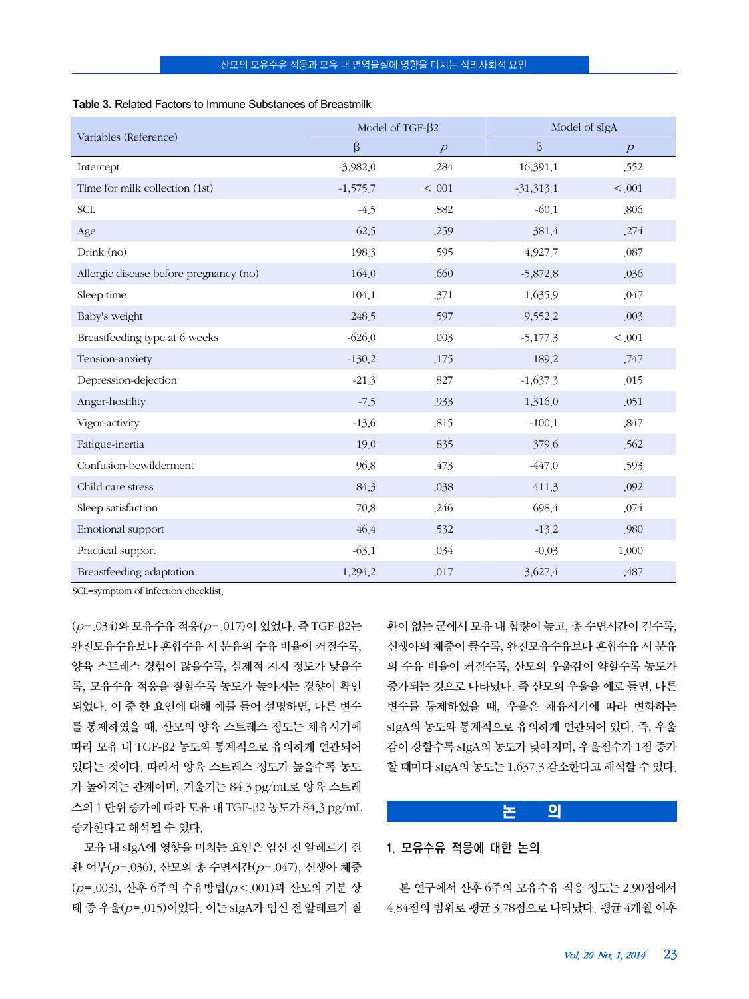|                                        | Model of TGF- $\beta$ 2 |                | Model of sIgA |                |  |
|----------------------------------------|-------------------------|----------------|---------------|----------------|--|
| Variables (Reference)                  | β                       | $\overline{p}$ | β             | $\overline{p}$ |  |
| Intercept                              | $-3,982.0$              | .284           | 16,391.1      | .552           |  |
| Time for milk collection (1st)         | $-1,575.7$              | < 0.001        | $-31,313.1$   | < 0.001        |  |
| <b>SCL</b>                             | $-4.5$                  | .882           | $-60.1$       | ,806           |  |
| Age                                    | 62.5                    | .259           | 381.4         | .274           |  |
| Drink (no)                             | 198.3                   | .595           | 4,927.7       | ,087           |  |
| Allergic disease before pregnancy (no) | 164.0                   | .660           | $-5,872.8$    | .036           |  |
| Sleep time                             | 104.1                   | .371           | 1,635.9       | .047           |  |
| Baby's weight                          | 248.5                   | .597           | 9,552.2       | .003           |  |
| Breastfeeding type at 6 weeks          | $-626.0$                | .003           | $-5,177.3$    | < 0.001        |  |
| Tension-anxiety                        | $-130.2$                | .175           | 189.2         | .747           |  |
| Depression-dejection                   | $-21.3$                 | ,827           | $-1,637.3$    | .015           |  |
| Anger-hostility                        | $-7.5$                  | .933           | 1,316.0       | .051           |  |
| Vigor-activity                         | $-13.6$                 | .815           | $-100.1$      | ,847           |  |
| Fatigue-inertia                        | 19.0                    | .835           | 379.6         | .562           |  |
| Confusion-bewilderment                 | 96.8                    | .473           | $-447.0$      | .593           |  |
| Child care stress                      | 84.3                    | .038           | 411.3         | .092           |  |
| Sleep satisfaction                     | 70.8                    | .246           | 698.4         | .074           |  |
| Emotional support                      | 46.4                    | .532           | $-13.2$       | .980           |  |
| Practical support                      | $-63.1$                 | .034           | $-0.03$       | 1,000          |  |
| Breastfeeding adaptation               | 1,294.2                 | .017           | 3,627.4       | .487           |  |

SCL=symptom of infection checklist.

(p=.034)와 모유수유 적응(p=.017)이 있었다. 즉 TGF-β2는 완전모유수유보다 혼합수유 시 분유의 수유 비율이 커질수록, 양육 스트레스 경험이 많을수록, 실제적 지지 정도가 낮을수 록, 모유수유 적응을 잘할수록 농도가 높아지는 경향이 확인 되었다. 이 중 한 요인에 대해 예를 들어 설명하면, 다른 변수 를 통제하였을 때, 산모의 양육 스트레스 정도는 채유시기에 따라 모유 내 TGF-β2 농도와 통계적으로 유의하게 연관되어 있다는 것이다. 따라서 양육 스트레스 정도가 높을수록 농도 가 높아지는 관계이며, 기울기는 84.3 pg/mL로 양육 스트레 스의 1 단위 증가에 따라 모유 내 TGF-β2 농도가 84.3 pg/mL 증가한다고 해석될 수 있다.

모유 내 sIgA에 영향을 미치는 요인은 임신 전 알레르기 질 환 여부(p=.036), 산모의 총 수면시간(p=.047), 신생아 체중 (p=.003), 산후 6주의 수유방법(p<.001)과 산모의 기분 상 태 중 우울( $p = 015$ )이었다. 이는 sIgA가 임신 전 알레르기 질 환이 없는 군에서 모유 내 함량이 높고, 총 수면시간이 길수록, 신생아의 체중이 클수록, 완전모유수유보다 혼합수유 시 분유 의 수유 비율이 커질수록, 산모의 우울감이 약할수록 농도가 증가되는 것으로 나타났다. 즉 산모의 우울을 예로 들면, 다른 변수를 통제하였을 때, 우울은 채유시기에 따라 변화하는 sIgA의 농도와 통계적으로 유의하게 연관되어 있다. 즉, 우울 감이 강할수록 sIgA의 농도가 낮아지며, 우울점수가 1점 증가 할 때마다 sIgA의 농도는 1,637.3 감소한다고 해석할 수 있다.

# 논 의

# 1. 모유수유 적응에 대한 논의

본 연구에서 산후 6주의 모유수유 적응 정도는 2.90점에서 4.84점의 범위로 평균 3.78점으로 나타났다. 평균 4개월 이후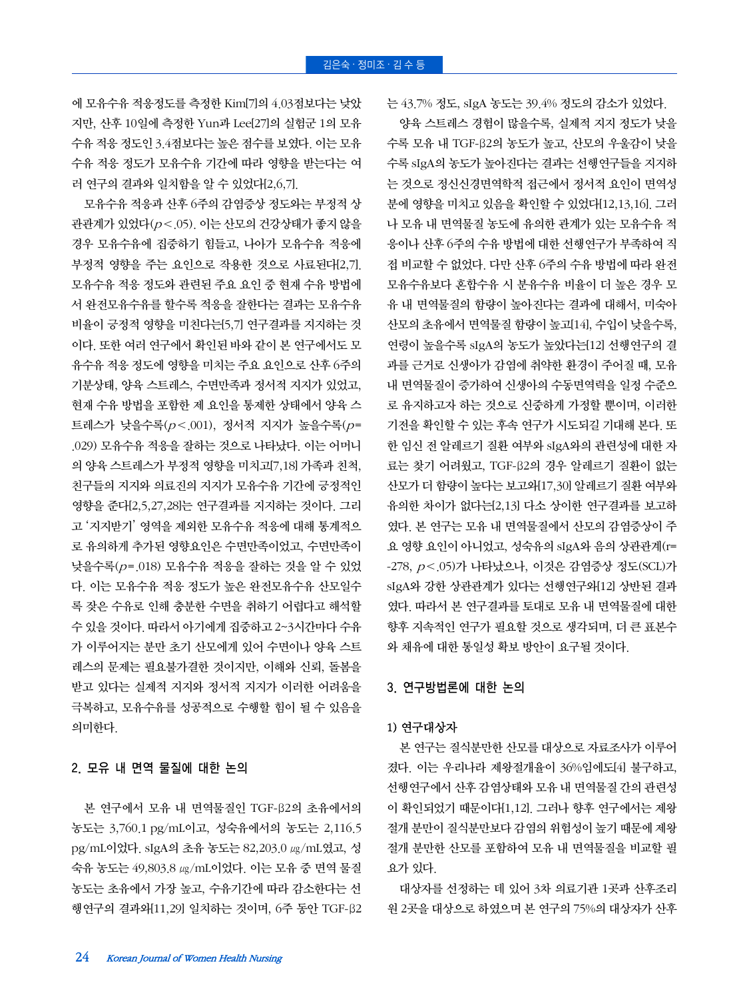에 모유수유 적응정도를 측정한 Kim[7]의 4.03점보다는 낮았 지만, 산후 10일에 측정한 Yun과 Lee[27]의 실험군 1의 모유 수유 적응 정도인 3.4점보다는 높은 점수를 보였다. 이는 모유 수유 적응 정도가 모유수유 기간에 따라 영향을 받는다는 여 러 연구의 결과와 일치함을 알 수 있었다[2,6,7].

모유수유 적응과 산후 6주의 감염증상 정도와는 부정적 상 관관계가 있었다(p<.05). 이는 산모의 건강상태가 좋지 않을 경우 모유수유에 집중하기 힘들고, 나아가 모유수유 적응에 부정적 영향을 주는 요인으로 작용한 것으로 사료된다[2,7]. 모유수유 적응 정도와 관련된 주요 요인 중 현재 수유 방법에 서 완전모유수유를 할수록 적응을 잘한다는 결과는 모유수유 비율이 긍정적 영향을 미친다는[5,7] 연구결과를 지지하는 것 이다. 또한 여러 연구에서 확인된 바와 같이 본 연구에서도 모 유수유 적응 정도에 영향을 미치는 주요 요인으로 산후 6주의 기분상태, 양육 스트레스, 수면만족과 정서적 지지가 있었고, 현재 수유 방법을 포함한 제 요인을 통제한 상태에서 양육 스 트레스가 낮을수록(p<.001), 정서적 지지가 높을수록(p= .029) 모유수유 적응을 잘하는 것으로 나타났다. 이는 어머니 의 양육 스트레스가 부정적 영향을 미치고[7,18] 가족과 친척, 친구들의 지지와 의료진의 지지가 모유수유 기간에 긍정적인 영향을 준다[2,5,27,28]는 연구결과를 지지하는 것이다. 그리 고 '지지받기' 영역을 제외한 모유수유 적응에 대해 통계적으 로 유의하게 추가된 영향요인은 수면만족이었고, 수면만족이 낮을수록(p=.018) 모유수유 적응을 잘하는 것을 알 수 있었 다. 이는 모유수유 적응 정도가 높은 완전모유수유 산모일수 록 잦은 수유로 인해 충분한 수면을 취하기 어렵다고 해석할 수 있을 것이다. 따라서 아기에게 집중하고 2~3시간마다 수유 가 이루어지는 분만 초기 산모에게 있어 수면이나 양육 스트 레스의 문제는 필요불가결한 것이지만, 이해와 신뢰, 돌봄을 받고 있다는 실제적 지지와 정서적 지지가 이러한 어려움을 극복하고, 모유수유를 성공적으로 수행할 힘이 될 수 있음을 의미한다.

#### 2. 모유 내 면역 물질에 대한 논의

본 연구에서 모유 내 면역물질인 TGF-β2의 초유에서의 농도는 3,760.1 pg/mL이고, 성숙유에서의 농도는 2,116.5 pg/mL이었다. sIgA의 초유 농도는 82,203.0 ㎍/mL였고, 성 숙유 농도는 49,803.8 ㎍/mL이었다. 이는 모유 중 면역 물질 농도는 초유에서 가장 높고, 수유기간에 따라 감소한다는 선 행연구의 결과와[11,29] 일치하는 것이며, 6주 동안 TGF-β2 는 43.7% 정도, sIgA 농도는 39.4% 정도의 감소가 있었다.

양육 스트레스 경험이 많을수록, 실제적 지지 정도가 낮을 수록 모유 내 TGF-β2의 농도가 높고, 산모의 우울감이 낮을 수록 sIgA의 농도가 높아진다는 결과는 선행연구들을 지지하 는 것으로 정신신경면역학적 접근에서 정서적 요인이 면역성 분에 영향을 미치고 있음을 확인할 수 있었다[12,13,16]. 그러 나 모유 내 면역물질 농도에 유의한 관계가 있는 모유수유 적 응이나 산후 6주의 수유 방법에 대한 선행연구가 부족하여 직 접 비교할 수 없었다. 다만 산후 6주의 수유 방법에 따라 완전 모유수유보다 혼합수유 시 분유수유 비율이 더 높은 경우 모 유 내 면역물질의 함량이 높아진다는 결과에 대해서, 미숙아 산모의 초유에서 면역물질 함량이 높고[14], 수입이 낮을수록, 연령이 높을수록 sIgA의 농도가 높았다는[12] 선행연구의 결 과를 근거로 신생아가 감염에 취약한 환경이 주어질 때, 모유 내 면역물질이 증가하여 신생아의 수동면역력을 일정 수준으 로 유지하고자 하는 것으로 신중하게 가정할 뿐이며, 이러한 기전을 확인할 수 있는 후속 연구가 시도되길 기대해 본다. 또 한 임신 전 알레르기 질환 여부와 sIgA와의 관련성에 대한 자 료는 찾기 어려웠고, TGF-β2의 경우 알레르기 질환이 없는 산모가 더 함량이 높다는 보고와[17,30] 알레르기 질환 여부와 유의한 차이가 없다는[2,13] 다소 상이한 연구결과를 보고하 였다. 본 연구는 모유 내 면역물질에서 산모의 감염증상이 주 요 영향 요인이 아니었고, 성숙유의 sIgA와 음의 상관관계(r=  $-278$ ,  $p < .05$ )가 나타났으나, 이것은 감염증상 정도(SCL)가 sIgA와 강한 상관관계가 있다는 선행연구와[12] 상반된 결과 였다. 따라서 본 연구결과를 토대로 모유 내 면역물질에 대한 향후 지속적인 연구가 필요할 것으로 생각되며, 더 큰 표본수 와 채유에 대한 통일성 확보 방안이 요구될 것이다.

# 3. 연구방법론에 대한 논의

## 1) 연구대상자

본 연구는 질식분만한 산모를 대상으로 자료조사가 이루어 졌다. 이는 우리나라 제왕절개율이 36%임에도[4] 불구하고, 선행연구에서 산후 감염상태와 모유 내 면역물질 간의 관련성 이 확인되었기 때문이다[1,12]. 그러나 향후 연구에서는 제왕 절개 분만이 질식분만보다 감염의 위험성이 높기 때문에 제왕 절개 분만한 산모를 포함하여 모유 내 면역물질을 비교할 필 요가 있다.

대상자를 선정하는 데 있어 3차 의료기관 1곳과 산후조리 원 2곳을 대상으로 하였으며 본 연구의 75%의 대상자가 산후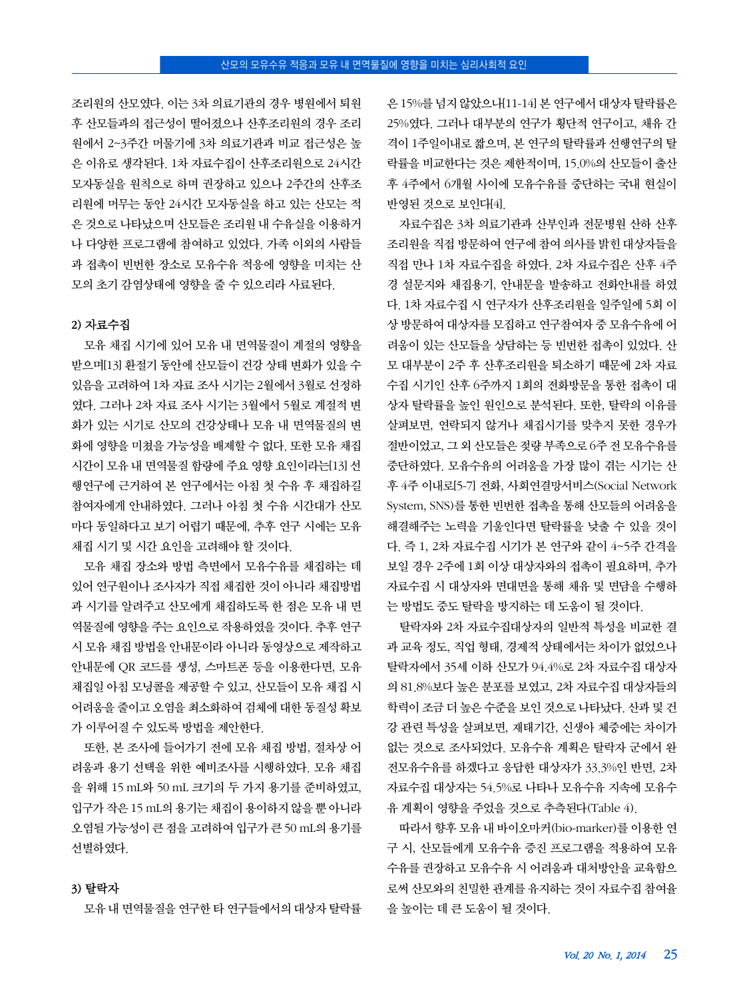조리원의 산모였다. 이는 3차 의료기관의 경우 병원에서 퇴원 후 산모들과의 접근성이 떨어졌으나 산후조리원의 경우 조리 원에서 2~3주간 머물기에 3차 의료기관과 비교 접근성은 높 은 이유로 생각된다. 1차 자료수집이 산후조리원으로 24시간 모자동실을 원칙으로 하며 권장하고 있으나 2주간의 산후조 리원에 머무는 동안 24시간 모자동실을 하고 있는 산모는 적 은 것으로 나타났으며 산모들은 조리원 내 수유실을 이용하거 나 다양한 프로그램에 참여하고 있었다. 가족 이외의 사람들 과 접촉이 빈번한 장소로 모유수유 적응에 영향을 미치는 산 모의 초기 감염상태에 영향을 줄 수 있으리라 사료된다.

#### 2) 자료수집

모유 채집 시기에 있어 모유 내 면역물질이 계절의 영향을 받으며[13] 환절기 동안에 산모들이 건강 상태 변화가 있을 수 있음을 고려하여 1차 자료 조사 시기는 2월에서 3월로 선정하 였다. 그러나 2차 자료 조사 시기는 3월에서 5월로 계절적 변 화가 있는 시기로 산모의 건강상태나 모유 내 면역물질의 변 화에 영향을 미쳤을 가능성을 배제할 수 없다. 또한 모유 채집 시간이 모유 내 면역물질 함량에 주요 영향 요인이라는[13] 선 행연구에 근거하여 본 연구에서는 아침 첫 수유 후 채집하길 참여자에게 안내하였다. 그러나 아침 첫 수유 시간대가 산모 마다 동일하다고 보기 어렵기 때문에, 추후 연구 시에는 모유 채집 시기 및 시간 요인을 고려해야 할 것이다.

모유 채집 장소와 방법 측면에서 모유수유를 채집하는 데 있어 연구원이나 조사자가 직접 채집한 것이 아니라 채집방법 과 시기를 알려주고 산모에게 채집하도록 한 점은 모유 내 면 역물질에 영향을 주는 요인으로 작용하였을 것이다. 추후 연구 시 모유 채집 방법을 안내문이라 아니라 동영상으로 제작하고 안내문에 QR 코드를 생성, 스마트폰 등을 이용한다면, 모유 채집일 아침 모닝콜을 제공할 수 있고, 산모들이 모유 채집 시 어려움을 줄이고 오염을 최소화하여 검체에 대한 동질성 확보 가 이루어질 수 있도록 방법을 제안한다.

또한, 본 조사에 들어가기 전에 모유 채집 방법, 절차상 어 려움과 용기 선택을 위한 예비조사를 시행하였다. 모유 채집 을 위해 15 mL와 50 mL 크기의 두 가지 용기를 준비하였고, 입구가 작은 15 mL의 용기는 채집이 용이하지 않을 뿐 아니라 오염될 가능성이 큰 점을 고려하여 입구가 큰 50 mL의 용기를 선별하였다.

은 15%를 넘지 않았으나[11-14] 본 연구에서 대상자 탈락률은 25%였다. 그러나 대부분의 연구가 횡단적 연구이고, 채유 간 격이 1주일이내로 짧으며, 본 연구의 탈락률과 선행연구의 탈 락률을 비교한다는 것은 제한적이며, 15.0%의 산모들이 출산 후 4주에서 6개월 사이에 모유수유를 중단하는 국내 현실이 반영된 것으로 보인다[4].

자료수집은 3차 의료기관과 산부인과 전문병원 산하 산후 조리원을 직접 방문하여 연구에 참여 의사를 밝힌 대상자들을 직접 만나 1차 자료수집을 하였다. 2차 자료수집은 산후 4주 경 설문지와 채집용기, 안내문을 발송하고 전화안내를 하였 다. 1차 자료수집 시 연구자가 산후조리원을 일주일에 5회 이 상 방문하여 대상자를 모집하고 연구참여자 중 모유수유에 어 려움이 있는 산모들을 상담하는 등 빈번한 접촉이 있었다. 산 모 대부분이 2주 후 산후조리원을 퇴소하기 때문에 2차 자료 수집 시기인 산후 6주까지 1회의 전화방문을 통한 접촉이 대 상자 탈락률을 높인 원인으로 분석된다. 또한, 탈락의 이유를 살펴보면, 연락되지 않거나 채집시기를 맞추지 못한 경우가 절반이었고, 그 외 산모들은 젖량 부족으로 6주 전 모유수유를 중단하였다. 모유수유의 어려움을 가장 많이 겪는 시기는 산 후 4주 이내로[5-7] 전화, 사회연결망서비스(Social Network System, SNS)를 통한 빈번한 접촉을 통해 산모들의 어려움을 해결해주는 노력을 기울인다면 탈락률을 낮출 수 있을 것이 다. 즉 1, 2차 자료수집 시기가 본 연구와 같이 4~5주 간격을 보일 경우 2주에 1회 이상 대상자와의 접촉이 필요하며, 추가 자료수집 시 대상자와 면대면을 통해 채유 및 면담을 수행하 는 방법도 중도 탈락을 방지하는 데 도움이 될 것이다.

탈락자와 2차 자료수집대상자의 일반적 특성을 비교한 결 과 교육 정도, 직업 형태, 경제적 상태에서는 차이가 없었으나 탈락자에서 35세 이하 산모가 94.4%로 2차 자료수집 대상자 의 81.8%보다 높은 분포를 보였고, 2차 자료수집 대상자들의 학력이 조금 더 높은 수준을 보인 것으로 나타났다. 산과 및 건 강 관련 특성을 살펴보면, 재태기간, 신생아 체중에는 차이가 없는 것으로 조사되었다. 모유수유 계획은 탈락자 군에서 완 전모유수유를 하겠다고 응답한 대상자가 33.3%인 반면, 2차 자료수집 대상자는 54.5%로 나타나 모유수유 지속에 모유수 유 계획이 영향을 주었을 것으로 추측된다(Table 4).

따라서 향후 모유 내 바이오마커(bio-marker)를 이용한 연 구 시, 산모들에게 모유수유 증진 프로그램을 적용하여 모유 수유를 권장하고 모유수유 시 어려움과 대처방안을 교육함으 로써 산모와의 친밀한 관계를 유지하는 것이 자료수집 참여율 을 높이는 데 큰 도움이 될 것이다.

# 3) 탈락자

모유 내 면역물질을 연구한 타 연구들에서의 대상자 탈락률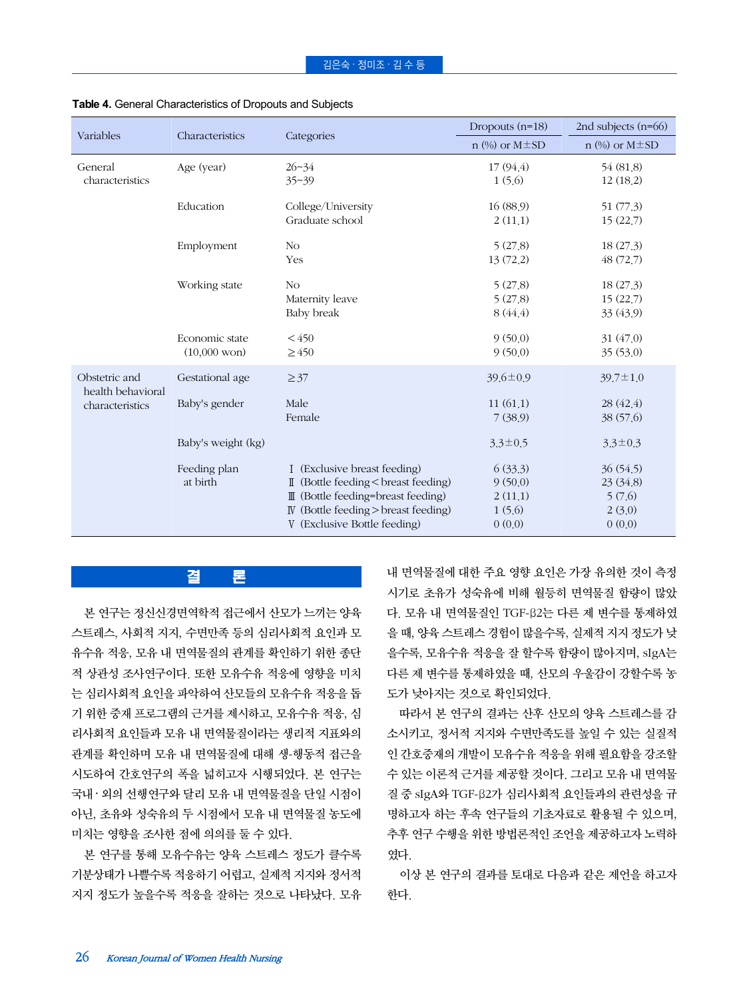| Variables                          | Characteristics                          |                                                                                                                                                                                              | Dropouts $(n=18)$                                 | 2nd subjects $(n=66)$                               |  |
|------------------------------------|------------------------------------------|----------------------------------------------------------------------------------------------------------------------------------------------------------------------------------------------|---------------------------------------------------|-----------------------------------------------------|--|
|                                    |                                          | Categories                                                                                                                                                                                   | $n$ (%) or M $\pm$ SD                             | $n$ (%) or M $\pm$ SD                               |  |
| General<br>characteristics         | Age (year)                               | $26 - 34$<br>$35 - 39$                                                                                                                                                                       | 17(94.4)<br>1(5.6)                                | 54 (81.8)<br>12(18.2)                               |  |
|                                    | Education                                | College/University<br>Graduate school                                                                                                                                                        | 16(88.9)<br>2(11,1)                               | 51(77.3)<br>15(22,7)                                |  |
|                                    | Employment                               | N <sub>O</sub><br>Yes                                                                                                                                                                        | 5(27.8)<br>13(72.2)                               | 18(27.3)<br>48(72,7)                                |  |
|                                    | Working state                            | N <sub>O</sub><br>Maternity leave<br>Baby break                                                                                                                                              | 5(27.8)<br>5(27.8)<br>8(44.4)                     | 18(27.3)<br>15(22,7)<br>33 (43.9)                   |  |
|                                    | Economic state<br>$(10,000 \text{ won})$ | < 450<br>$\geq 450$                                                                                                                                                                          | 9(50.0)<br>9(50.0)                                | 31 (47.0)<br>35(53.0)                               |  |
| Obstetric and<br>health behavioral | Gestational age                          | $\geq 37$                                                                                                                                                                                    | $39.6 \pm 0.9$                                    | $39.7 \pm 1.0$                                      |  |
| characteristics                    | Baby's gender                            | Male<br>Female                                                                                                                                                                               | 11(61,1)<br>7(38.9)                               | 28 (42.4)<br>38 (57.6)                              |  |
|                                    | Baby's weight (kg)                       |                                                                                                                                                                                              | $3.3 \pm 0.5$                                     | $3.3 \pm 0.3$                                       |  |
|                                    | Feeding plan<br>at birth                 | I (Exclusive breast feeding)<br>II (Bottle feeding < breast feeding)<br>III (Bottle feeding=breast feeding)<br>$\mathbb N$ (Bottle feeding > breast feeding)<br>V (Exclusive Bottle feeding) | 6(33.3)<br>9(50.0)<br>2(11,1)<br>1(5.6)<br>0(0.0) | 36(54.5)<br>23 (34.8)<br>5(7.6)<br>2(3.0)<br>0(0.0) |  |

#### **Table 4.** General Characteristics of Dropouts and Subjects

# 결 론

본 연구는 정신신경면역학적 접근에서 산모가 느끼는 양육 스트레스, 사회적 지지, 수면만족 등의 심리사회적 요인과 모 유수유 적응, 모유 내 면역물질의 관계를 확인하기 위한 종단 적 상관성 조사연구이다. 또한 모유수유 적응에 영향을 미치 는 심리사회적 요인을 파악하여 산모들의 모유수유 적응을 돕 기 위한 중재 프로그램의 근거를 제시하고, 모유수유 적응, 심 리사회적 요인들과 모유 내 면역물질이라는 생리적 지표와의 관계를 확인하며 모유 내 면역물질에 대해 생-행동적 접근을 시도하여 간호연구의 폭을 넓히고자 시행되었다. 본 연구는 국내 ‧ 외의 선행연구와 달리 모유 내 면역물질을 단일 시점이 아닌, 초유와 성숙유의 두 시점에서 모유 내 면역물질 농도에 미치는 영향을 조사한 점에 의의를 둘 수 있다.

본 연구를 통해 모유수유는 양육 스트레스 정도가 클수록 기분상태가 나쁠수록 적응하기 어렵고, 실제적 지지와 정서적 지지 정도가 높을수록 적응을 잘하는 것으로 나타났다. 모유

내 면역물질에 대한 주요 영향 요인은 가장 유의한 것이 측정 시기로 초유가 성숙유에 비해 월등히 면역물질 함량이 많았 다. 모유 내 면역물질인 TGF-β2는 다른 제 변수를 통제하였 을 때, 양육 스트레스 경험이 많을수록, 실제적 지지 정도가 낮 을수록, 모유수유 적응을 잘 할수록 함량이 많아지며, sIgA는 다른 제 변수를 통제하였을 때, 산모의 우울감이 강할수록 농 도가 낮아지는 것으로 확인되었다.

따라서 본 연구의 결과는 산후 산모의 양육 스트레스를 감 소시키고, 정서적 지지와 수면만족도를 높일 수 있는 실질적 인 간호중재의 개발이 모유수유 적응을 위해 필요함을 강조할 수 있는 이론적 근거를 제공할 것이다. 그리고 모유 내 면역물 질 중 sIgA와 TGF-β2가 심리사회적 요인들과의 관련성을 규 명하고자 하는 후속 연구들의 기초자료로 활용될 수 있으며, 추후 연구 수행을 위한 방법론적인 조언을 제공하고자 노력하 였다.

이상 본 연구의 결과를 토대로 다음과 같은 제언을 하고자 한다.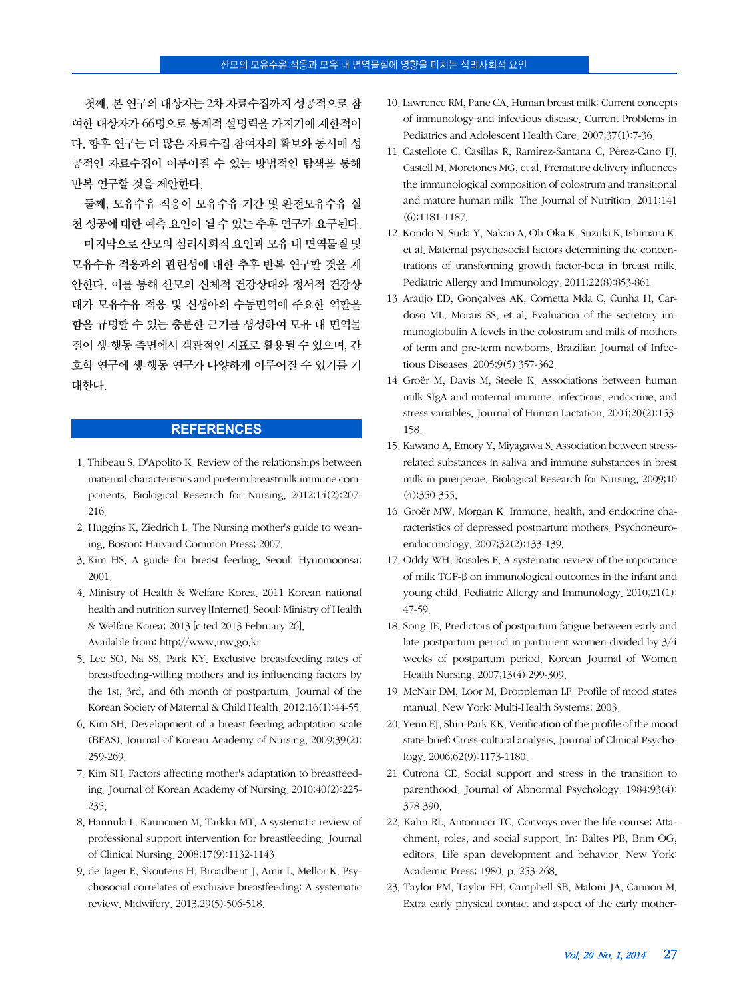첫째, 본 연구의 대상자는 2차 자료수집까지 성공적으로 참 여한 대상자가 66명으로 통계적 설명력을 가지기에 제한적이 다. 향후 연구는 더 많은 자료수집 참여자의 확보와 동시에 성 공적인 자료수집이 이루어질 수 있는 방법적인 탐색을 통해 반복 연구할 것을 제안한다.

둘째, 모유수유 적응이 모유수유 기간 및 완전모유수유 실 천 성공에 대한 예측 요인이 될 수 있는 추후 연구가 요구된다. 마지막으로 산모의 심리사회적 요인과 모유 내 면역물질 및 모유수유 적응과의 관련성에 대한 추후 반복 연구할 것을 제 안한다. 이를 통해 산모의 신체적 건강상태와 정서적 건강상 태가 모유수유 적응 및 신생아의 수동면역에 주요한 역할을 함을 규명할 수 있는 충분한 근거를 생성하여 모유 내 면역물 질이 생-행동 측면에서 객관적인 지표로 활용될 수 있으며, 간 호학 연구에 생-행동 연구가 다양하게 이루어질 수 있기를 기 대한다.

# **REFERENCES**

- 1. Thibeau S, D'Apolito K. Review of the relationships between maternal characteristics and preterm breastmilk immune components. Biological Research for Nursing. 2012;14(2):207- 216.
- 2. Huggins K, Ziedrich L. The Nursing mother's guide to weaning. Boston: Harvard Common Press; 2007.
- 3. Kim HS. A guide for breast feeding. Seoul: Hyunmoonsa; 2001.
- 4. Ministry of Health & Welfare Korea. 2011 Korean national health and nutrition survey [Internet]. Seoul: Ministry of Health & Welfare Korea; 2013 [cited 2013 February 26]. Available from: http://www.mw.go.kr
- 5. Lee SO, Na SS, Park KY. Exclusive breastfeeding rates of breastfeeding-willing mothers and its influencing factors by the 1st, 3rd, and 6th month of postpartum. Journal of the Korean Society of Maternal & Child Health. 2012;16(1):44-55.
- 6. Kim SH. Development of a breast feeding adaptation scale (BFAS). Journal of Korean Academy of Nursing. 2009;39(2): 259-269.
- 7. Kim SH. Factors affecting mother's adaptation to breastfeeding. Journal of Korean Academy of Nursing. 2010;40(2):225- 235.
- 8. Hannula L, Kaunonen M, Tarkka MT. A systematic review of professional support intervention for breastfeeding. Journal of Clinical Nursing. 2008;17(9):1132-1143.
- 9. de Jager E, Skouteirs H, Broadbent J, Amir L, Mellor K. Psychosocial correlates of exclusive breastfeeding: A systematic review. Midwifery. 2013;29(5):506-518.
- 10. Lawrence RM, Pane CA. Human breast milk: Current concepts of immunology and infectious disease. Current Problems in Pediatrics and Adolescent Health Care. 2007;37(1):7-36.
- 11. Castellote C, Casillas R, Ramírez-Santana C, Pérez-Cano FI, Castell M, Moretones MG, et al. Premature delivery influences the immunological composition of colostrum and transitional and mature human milk. The Journal of Nutrition. 2011;141 (6):1181-1187.
- 12. Kondo N, Suda Y, Nakao A, Oh-Oka K, Suzuki K, Ishimaru K, et al. Maternal psychosocial factors determining the concentrations of transforming growth factor-beta in breast milk. Pediatric Allergy and Immunology. 2011;22(8):853-861.
- 13. Araújo ED, Gonçalves AK, Cornetta Mda C, Cunha H, Cardoso ML, Morais SS, et al. Evaluation of the secretory immunoglobulin A levels in the colostrum and milk of mothers of term and pre-term newborns. Brazilian Journal of Infectious Diseases. 2005;9(5):357-362.
- 14. Groër M, Davis M, Steele K. Associations between human milk SIgA and maternal immune, infectious, endocrine, and stress variables. Journal of Human Lactation. 2004;20(2):153- 158.
- 15. Kawano A, Emory Y, Miyagawa S. Association between stressrelated substances in saliva and immune substances in brest milk in puerperae. Biological Research for Nursing. 2009;10 (4):350-355.
- 16. Groër MW, Morgan K. Immune, health, and endocrine characteristics of depressed postpartum mothers. Psychoneuroendocrinology. 2007;32(2):133-139.
- 17. Oddy WH, Rosales F. A systematic review of the importance of milk TGF-β on immunological outcomes in the infant and young child. Pediatric Allergy and Immunology. 2010;21(1): 47-59.
- 18. Song JE. Predictors of postpartum fatigue between early and late postpartum period in parturient women-divided by 3/4 weeks of postpartum period. Korean Journal of Women Health Nursing. 2007;13(4):299-309.
- 19. McNair DM, Loor M, Droppleman LF. Profile of mood states manual. New York: Multi-Health Systems; 2003.
- 20. Yeun EJ, Shin-Park KK. Verification of the profile of the mood state-brief: Cross-cultural analysis. Journal of Clinical Psychology. 2006;62(9):1173-1180.
- 21. Cutrona CE. Social support and stress in the transition to parenthood. Journal of Abnormal Psychology. 1984;93(4): 378-390.
- 22. Kahn RL, Antonucci TC. Convoys over the life course: Attachment, roles, and social support. In: Baltes PB, Brim OG, editors. Life span development and behavior. New York: Academic Press; 1980. p. 253-268.
- 23. Taylor PM, Taylor FH, Campbell SB, Maloni JA, Cannon M. Extra early physical contact and aspect of the early mother-